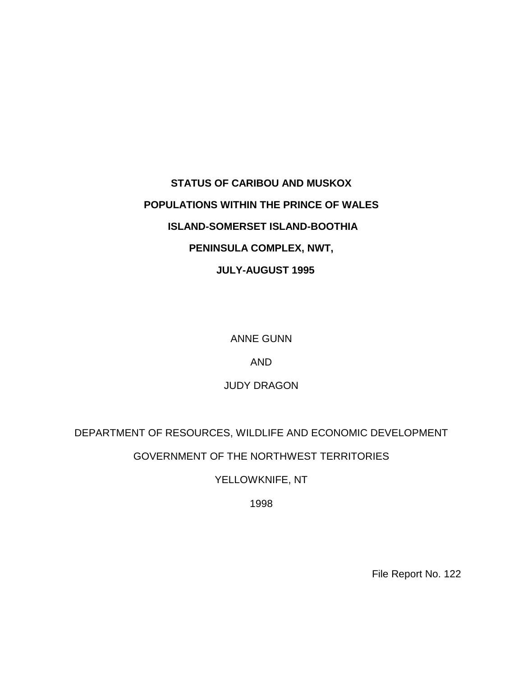# **STATUS OF CARIBOU AND MUSKOX POPULATIONS WITHIN THE PRINCE OF WALES ISLAND-SOMERSET ISLAND-BOOTHIA PENINSULA COMPLEX, NWT, JULY-AUGUST 1995**

ANNE GUNN

AND

JUDY DRAGON

DEPARTMENT OF RESOURCES, WILDLIFE AND ECONOMIC DEVELOPMENT

GOVERNMENT OF THE NORTHWEST TERRITORIES

YELLOWKNIFE, NT

1998

File Report No. 122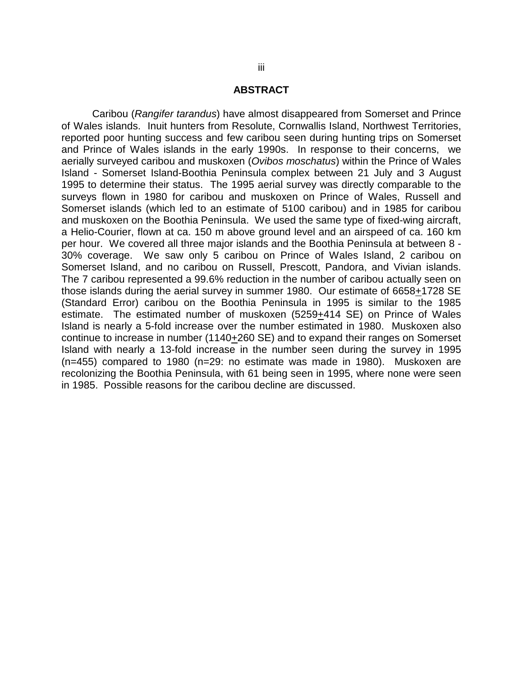### **ABSTRACT**

Caribou (*Rangifer tarandus*) have almost disappeared from Somerset and Prince of Wales islands. Inuit hunters from Resolute, Cornwallis Island, Northwest Territories, reported poor hunting success and few caribou seen during hunting trips on Somerset and Prince of Wales islands in the early 1990s. In response to their concerns, we aerially surveyed caribou and muskoxen (*Ovibos moschatus*) within the Prince of Wales Island - Somerset Island-Boothia Peninsula complex between 21 July and 3 August 1995 to determine their status. The 1995 aerial survey was directly comparable to the surveys flown in 1980 for caribou and muskoxen on Prince of Wales, Russell and Somerset islands (which led to an estimate of 5100 caribou) and in 1985 for caribou and muskoxen on the Boothia Peninsula. We used the same type of fixed-wing aircraft, a Helio-Courier, flown at ca. 150 m above ground level and an airspeed of ca. 160 km per hour. We covered all three major islands and the Boothia Peninsula at between 8 - 30% coverage. We saw only 5 caribou on Prince of Wales Island, 2 caribou on Somerset Island, and no caribou on Russell, Prescott, Pandora, and Vivian islands. The 7 caribou represented a 99.6% reduction in the number of caribou actually seen on those islands during the aerial survey in summer 1980. Our estimate of 6658+1728 SE (Standard Error) caribou on the Boothia Peninsula in 1995 is similar to the 1985 estimate. The estimated number of muskoxen (5259+414 SE) on Prince of Wales Island is nearly a 5-fold increase over the number estimated in 1980. Muskoxen also continue to increase in number (1140+260 SE) and to expand their ranges on Somerset Island with nearly a 13-fold increase in the number seen during the survey in 1995 (n=455) compared to 1980 (n=29: no estimate was made in 1980). Muskoxen are recolonizing the Boothia Peninsula, with 61 being seen in 1995, where none were seen in 1985. Possible reasons for the caribou decline are discussed.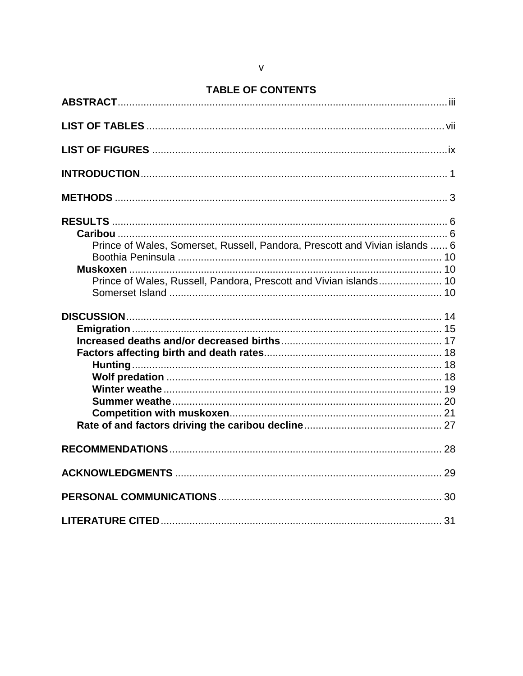# **TABLE OF CONTENTS**

| Prince of Wales, Somerset, Russell, Pandora, Prescott and Vivian islands  6 |  |
|-----------------------------------------------------------------------------|--|
|                                                                             |  |
| Prince of Wales, Russell, Pandora, Prescott and Vivian islands 10           |  |
|                                                                             |  |
|                                                                             |  |
|                                                                             |  |
|                                                                             |  |
|                                                                             |  |
|                                                                             |  |
|                                                                             |  |
|                                                                             |  |
|                                                                             |  |
|                                                                             |  |
|                                                                             |  |
|                                                                             |  |
|                                                                             |  |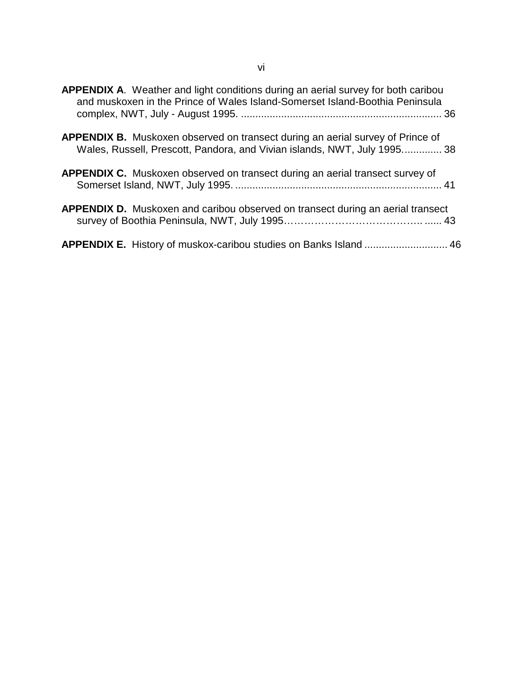| <b>APPENDIX A.</b> Weather and light conditions during an aerial survey for both caribou<br>and muskoxen in the Prince of Wales Island-Somerset Island-Boothia Peninsula |  |
|--------------------------------------------------------------------------------------------------------------------------------------------------------------------------|--|
| <b>APPENDIX B.</b> Muskoxen observed on transect during an aerial survey of Prince of<br>Wales, Russell, Prescott, Pandora, and Vivian islands, NWT, July 1995 38        |  |
| <b>APPENDIX C.</b> Muskoxen observed on transect during an aerial transect survey of                                                                                     |  |
| <b>APPENDIX D.</b> Muskoxen and caribou observed on transect during an aerial transect                                                                                   |  |
| APPENDIX E. History of muskox-caribou studies on Banks Island  46                                                                                                        |  |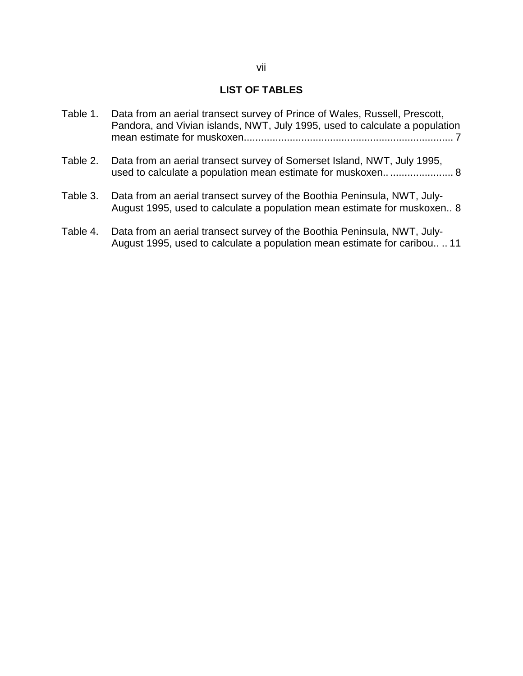# **LIST OF TABLES**

- Table 1. Data from an aerial transect survey of Prince of Wales, Russell, Prescott, Pandora, and Vivian islands, NWT, July 1995, used to calculate a population mean estimate for muskoxen......................................................................... 7
- Table 2. Data from an aerial transect survey of Somerset Island, NWT, July 1995, used to calculate a population mean estimate for muskoxen.............................. 8
- Table 3. Data from an aerial transect survey of the Boothia Peninsula, NWT, July-August 1995, used to calculate a population mean estimate for muskoxen.. 8
- Table 4. Data from an aerial transect survey of the Boothia Peninsula, NWT, July-August 1995, used to calculate a population mean estimate for caribou.. .. 11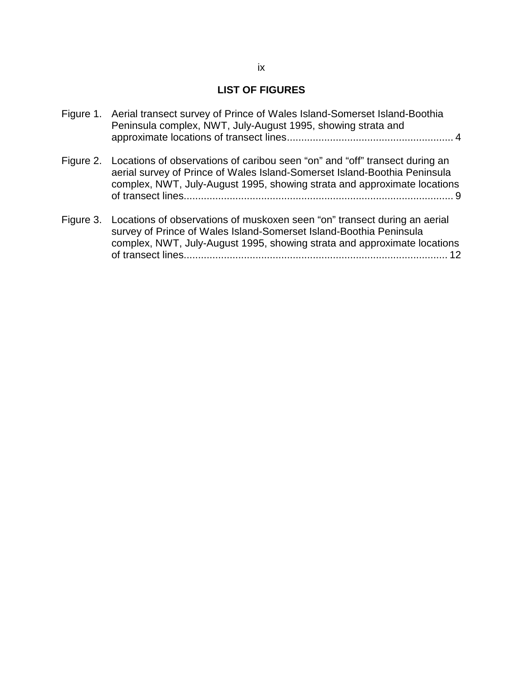# **LIST OF FIGURES**

|           | Figure 1. Aerial transect survey of Prince of Wales Island-Somerset Island-Boothia<br>Peninsula complex, NWT, July-August 1995, showing strata and                                                                                    |
|-----------|---------------------------------------------------------------------------------------------------------------------------------------------------------------------------------------------------------------------------------------|
| Figure 2. | Locations of observations of caribou seen "on" and "off" transect during an<br>aerial survey of Prince of Wales Island-Somerset Island-Boothia Peninsula<br>complex, NWT, July-August 1995, showing strata and approximate locations  |
|           | Figure 3. Locations of observations of muskoxen seen "on" transect during an aerial<br>survey of Prince of Wales Island-Somerset Island-Boothia Peninsula<br>complex, NWT, July-August 1995, showing strata and approximate locations |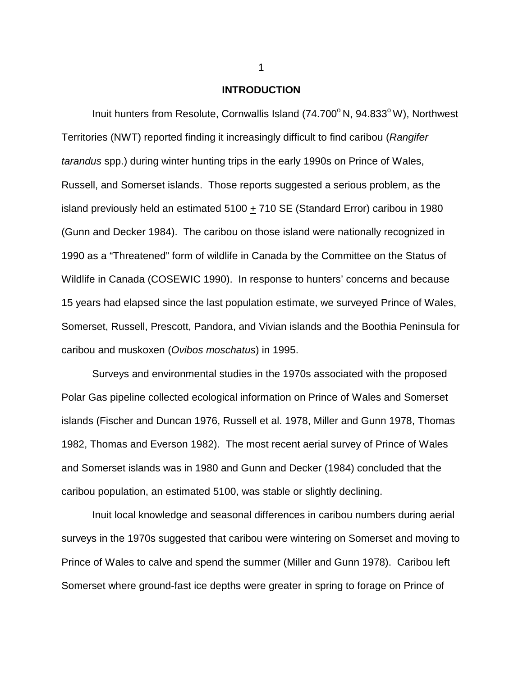### **INTRODUCTION**

Inuit hunters from Resolute, Cornwallis Island  $(74.700^{\circ}$  N,  $94.833^{\circ}$  W), Northwest Territories (NWT) reported finding it increasingly difficult to find caribou (*Rangifer tarandus* spp.) during winter hunting trips in the early 1990s on Prince of Wales, Russell, and Somerset islands. Those reports suggested a serious problem, as the island previously held an estimated 5100 + 710 SE (Standard Error) caribou in 1980 (Gunn and Decker 1984). The caribou on those island were nationally recognized in 1990 as a "Threatened" form of wildlife in Canada by the Committee on the Status of Wildlife in Canada (COSEWIC 1990). In response to hunters' concerns and because 15 years had elapsed since the last population estimate, we surveyed Prince of Wales, Somerset, Russell, Prescott, Pandora, and Vivian islands and the Boothia Peninsula for caribou and muskoxen (*Ovibos moschatus*) in 1995.

Surveys and environmental studies in the 1970s associated with the proposed Polar Gas pipeline collected ecological information on Prince of Wales and Somerset islands (Fischer and Duncan 1976, Russell et al. 1978, Miller and Gunn 1978, Thomas 1982, Thomas and Everson 1982). The most recent aerial survey of Prince of Wales and Somerset islands was in 1980 and Gunn and Decker (1984) concluded that the caribou population, an estimated 5100, was stable or slightly declining.

Inuit local knowledge and seasonal differences in caribou numbers during aerial surveys in the 1970s suggested that caribou were wintering on Somerset and moving to Prince of Wales to calve and spend the summer (Miller and Gunn 1978). Caribou left Somerset where ground-fast ice depths were greater in spring to forage on Prince of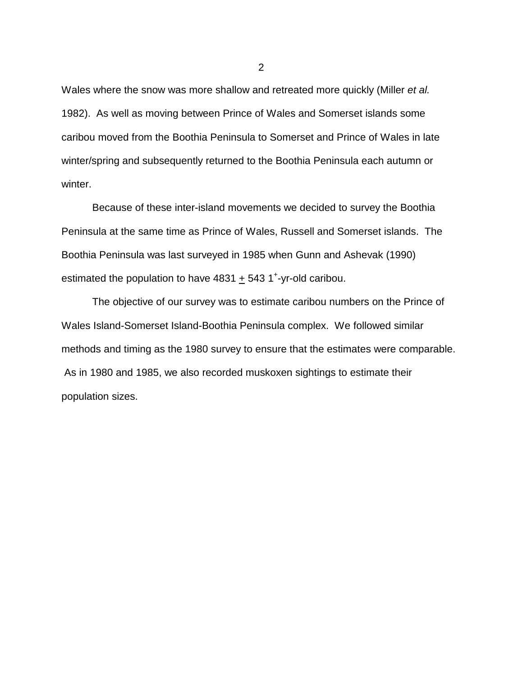Wales where the snow was more shallow and retreated more quickly (Miller *et al.* 1982). As well as moving between Prince of Wales and Somerset islands some caribou moved from the Boothia Peninsula to Somerset and Prince of Wales in late winter/spring and subsequently returned to the Boothia Peninsula each autumn or winter.

Because of these inter-island movements we decided to survey the Boothia Peninsula at the same time as Prince of Wales, Russell and Somerset islands. The Boothia Peninsula was last surveyed in 1985 when Gunn and Ashevak (1990) estimated the population to have  $4831 + 543$  1<sup>+</sup>-yr-old caribou.

The objective of our survey was to estimate caribou numbers on the Prince of Wales Island-Somerset Island-Boothia Peninsula complex. We followed similar methods and timing as the 1980 survey to ensure that the estimates were comparable. As in 1980 and 1985, we also recorded muskoxen sightings to estimate their population sizes.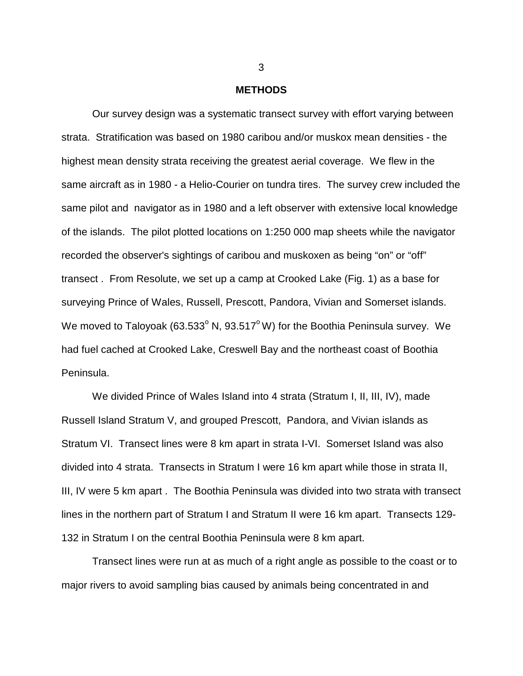#### **METHODS**

Our survey design was a systematic transect survey with effort varying between strata. Stratification was based on 1980 caribou and/or muskox mean densities - the highest mean density strata receiving the greatest aerial coverage. We flew in the same aircraft as in 1980 - a Helio-Courier on tundra tires. The survey crew included the same pilot and navigator as in 1980 and a left observer with extensive local knowledge of the islands. The pilot plotted locations on 1:250 000 map sheets while the navigator recorded the observer's sightings of caribou and muskoxen as being "on" or "off" transect . From Resolute, we set up a camp at Crooked Lake (Fig. 1) as a base for surveying Prince of Wales, Russell, Prescott, Pandora, Vivian and Somerset islands. We moved to Taloyoak (63.533 $^{\circ}$  N, 93.517 $^{\circ}$  W) for the Boothia Peninsula survey. We had fuel cached at Crooked Lake, Creswell Bay and the northeast coast of Boothia Peninsula.

We divided Prince of Wales Island into 4 strata (Stratum I, II, III, IV), made Russell Island Stratum V, and grouped Prescott, Pandora, and Vivian islands as Stratum VI. Transect lines were 8 km apart in strata I-VI. Somerset Island was also divided into 4 strata. Transects in Stratum I were 16 km apart while those in strata II, III, IV were 5 km apart . The Boothia Peninsula was divided into two strata with transect lines in the northern part of Stratum I and Stratum II were 16 km apart. Transects 129- 132 in Stratum I on the central Boothia Peninsula were 8 km apart.

Transect lines were run at as much of a right angle as possible to the coast or to major rivers to avoid sampling bias caused by animals being concentrated in and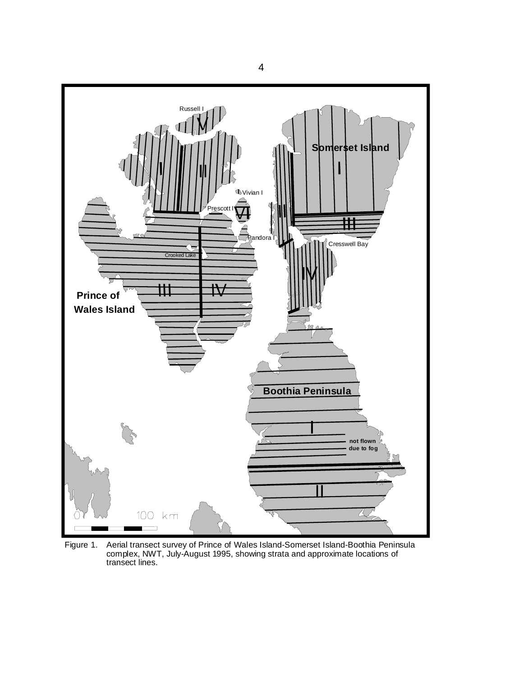

Figure 1. Aerial transect survey of Prince of Wales Island-Somerset Island-Boothia Peninsula complex, NWT, July-August 1995, showing strata and approximate locations of transect lines.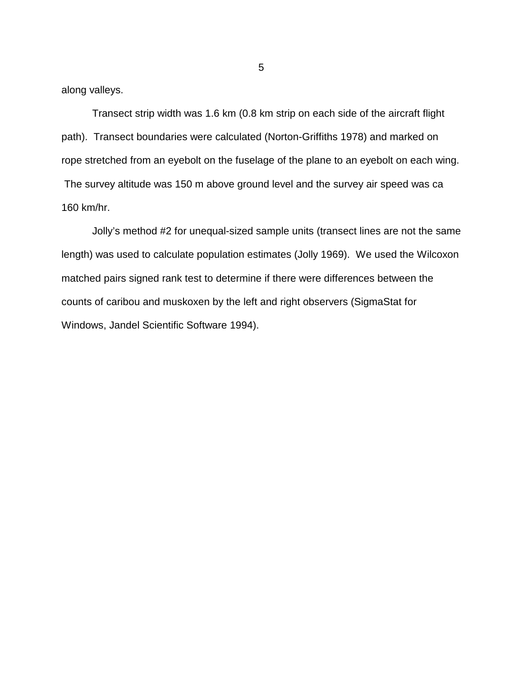along valleys.

Transect strip width was 1.6 km (0.8 km strip on each side of the aircraft flight path). Transect boundaries were calculated (Norton-Griffiths 1978) and marked on rope stretched from an eyebolt on the fuselage of the plane to an eyebolt on each wing. The survey altitude was 150 m above ground level and the survey air speed was ca 160 km/hr.

Jolly's method #2 for unequal-sized sample units (transect lines are not the same length) was used to calculate population estimates (Jolly 1969). We used the Wilcoxon matched pairs signed rank test to determine if there were differences between the counts of caribou and muskoxen by the left and right observers (SigmaStat for Windows, Jandel Scientific Software 1994).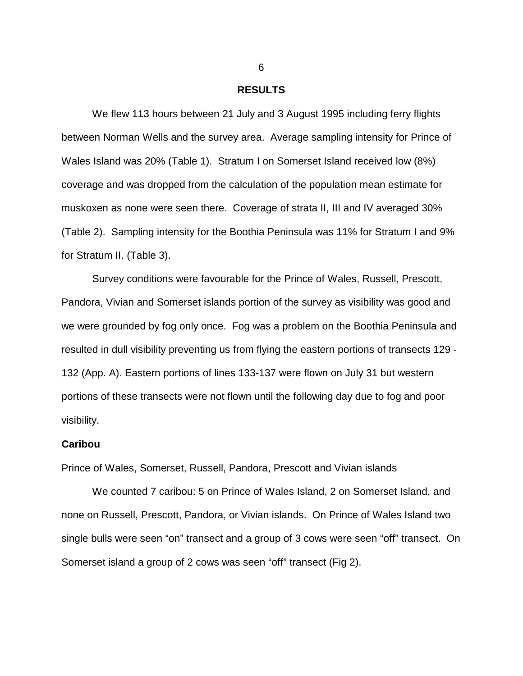### **RESULTS**

We flew 113 hours between 21 July and 3 August 1995 including ferry flights between Norman Wells and the survey area. Average sampling intensity for Prince of Wales Island was 20% (Table 1). Stratum I on Somerset Island received low (8%) coverage and was dropped from the calculation of the population mean estimate for muskoxen as none were seen there. Coverage of strata II, III and IV averaged 30% (Table 2). Sampling intensity for the Boothia Peninsula was 11% for Stratum I and 9% for Stratum II. (Table 3).

Survey conditions were favourable for the Prince of Wales, Russell, Prescott, Pandora, Vivian and Somerset islands portion of the survey as visibility was good and we were grounded by fog only once. Fog was a problem on the Boothia Peninsula and resulted in dull visibility preventing us from flying the eastern portions of transects 129 - 132 (App. A). Eastern portions of lines 133-137 were flown on July 31 but western portions of these transects were not flown until the following day due to fog and poor visibility.

### **Caribou**

#### Prince of Wales, Somerset, Russell, Pandora, Prescott and Vivian islands

We counted 7 caribou: 5 on Prince of Wales Island, 2 on Somerset Island, and none on Russell, Prescott, Pandora, or Vivian islands. On Prince of Wales Island two single bulls were seen "on" transect and a group of 3 cows were seen "off" transect. On Somerset island a group of 2 cows was seen "off" transect (Fig 2).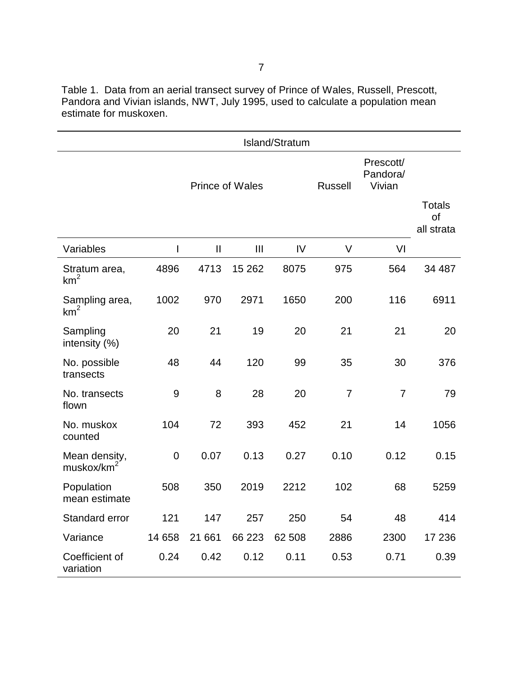Table 1. Data from an aerial transect survey of Prince of Wales, Russell, Prescott, Pandora and Vivian islands, NWT, July 1995, used to calculate a population mean estimate for muskoxen.

|                                         | Island/Stratum |                        |         |                |                                 |                                   |        |
|-----------------------------------------|----------------|------------------------|---------|----------------|---------------------------------|-----------------------------------|--------|
|                                         |                | <b>Prince of Wales</b> |         | <b>Russell</b> | Prescott/<br>Pandora/<br>Vivian | <b>Totals</b><br>of<br>all strata |        |
| Variables                               | $\mathsf I$    | $\mathbf{I}$           | III     | IV             | V                               | VI                                |        |
| Stratum area,<br>$km^2$                 | 4896           | 4713                   | 15 26 2 | 8075           | 975                             | 564                               | 34 487 |
| Sampling area,<br>km <sup>2</sup>       | 1002           | 970                    | 2971    | 1650           | 200                             | 116                               | 6911   |
| Sampling<br>intensity (%)               | 20             | 21                     | 19      | 20             | 21                              | 21                                | 20     |
| No. possible<br>transects               | 48             | 44                     | 120     | 99             | 35                              | 30                                | 376    |
| No. transects<br>flown                  | 9              | 8                      | 28      | 20             | $\overline{7}$                  | $\overline{7}$                    | 79     |
| No. muskox<br>counted                   | 104            | 72                     | 393     | 452            | 21                              | 14                                | 1056   |
| Mean density,<br>muskox/km <sup>2</sup> | $\mathbf 0$    | 0.07                   | 0.13    | 0.27           | 0.10                            | 0.12                              | 0.15   |
| Population<br>mean estimate             | 508            | 350                    | 2019    | 2212           | 102                             | 68                                | 5259   |
| Standard error                          | 121            | 147                    | 257     | 250            | 54                              | 48                                | 414    |
| Variance                                | 14 658         | 21 661                 | 66 223  | 62 508         | 2886                            | 2300                              | 17 236 |
| Coefficient of<br>variation             | 0.24           | 0.42                   | 0.12    | 0.11           | 0.53                            | 0.71                              | 0.39   |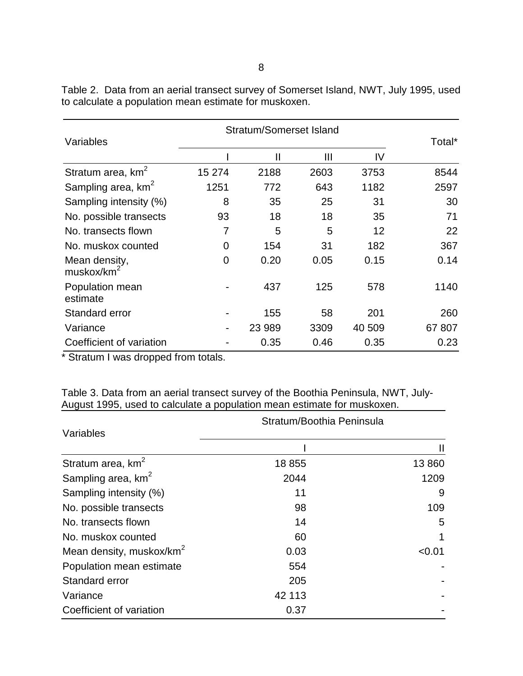| Variables                       | <b>Stratum/Somerset Island</b> |        |      |        | Total* |
|---------------------------------|--------------------------------|--------|------|--------|--------|
|                                 |                                | Ш      | Ш    | IV     |        |
| Stratum area, km <sup>2</sup>   | 15 274                         | 2188   | 2603 | 3753   | 8544   |
| Sampling area, km <sup>2</sup>  | 1251                           | 772    | 643  | 1182   | 2597   |
| Sampling intensity (%)          | 8                              | 35     | 25   | 31     | 30     |
| No. possible transects          | 93                             | 18     | 18   | 35     | 71     |
| No. transects flown             | 7                              | 5      | 5    | 12     | 22     |
| No. muskox counted              | 0                              | 154    | 31   | 182    | 367    |
| Mean density,<br>muskox/ $km^2$ | $\overline{0}$                 | 0.20   | 0.05 | 0.15   | 0.14   |
| Population mean<br>estimate     |                                | 437    | 125  | 578    | 1140   |
| <b>Standard error</b>           |                                | 155    | 58   | 201    | 260    |
| Variance                        |                                | 23 989 | 3309 | 40 509 | 67 807 |
| Coefficient of variation        |                                | 0.35   | 0.46 | 0.35   | 0.23   |

Table 2. Data from an aerial transect survey of Somerset Island, NWT, July 1995, used to calculate a population mean estimate for muskoxen.

\* Stratum I was dropped from totals.

Table 3. Data from an aerial transect survey of the Boothia Peninsula, NWT, July-August 1995, used to calculate a population mean estimate for muskoxen.

|                                      | Stratum/Boothia Peninsula |        |
|--------------------------------------|---------------------------|--------|
| Variables                            |                           |        |
|                                      |                           | Ш      |
| Stratum area, km <sup>2</sup>        | 18 855                    | 13 860 |
| Sampling area, km <sup>2</sup>       | 2044                      | 1209   |
| Sampling intensity (%)               | 11                        | 9      |
| No. possible transects               | 98                        | 109    |
| No. transects flown                  | 14                        | 5      |
| No. muskox counted                   | 60                        |        |
| Mean density, muskox/km <sup>2</sup> | 0.03                      | < 0.01 |
| Population mean estimate             | 554                       |        |
| Standard error                       | 205                       |        |
| Variance                             | 42 113                    |        |
| Coefficient of variation             | 0.37                      |        |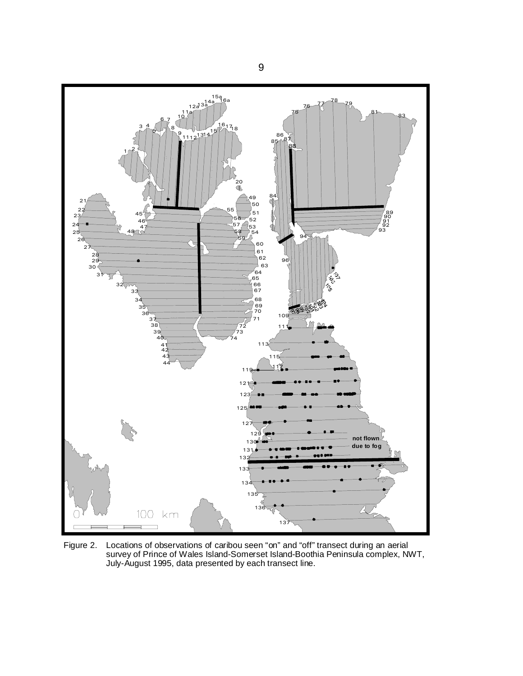

Figure 2. Locations of observations of caribou seen "on" and "off" transect during an aerial survey of Prince of Wales Island-Somerset Island-Boothia Peninsula complex, NWT, July-August 1995, data presented by each transect line.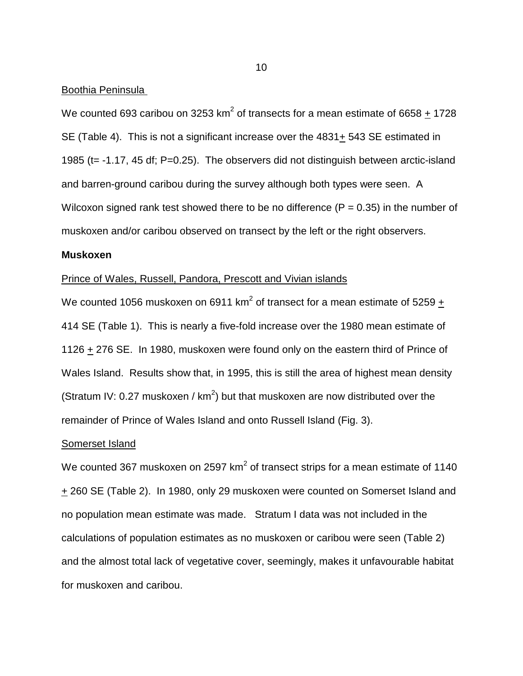### Boothia Peninsula

We counted 693 caribou on 3253 km<sup>2</sup> of transects for a mean estimate of 6658  $\pm$  1728 SE (Table 4). This is not a significant increase over the 4831+ 543 SE estimated in 1985 (t= -1.17, 45 df; P=0.25). The observers did not distinguish between arctic-island and barren-ground caribou during the survey although both types were seen. A Wilcoxon signed rank test showed there to be no difference ( $P = 0.35$ ) in the number of muskoxen and/or caribou observed on transect by the left or the right observers.

### **Muskoxen**

## Prince of Wales, Russell, Pandora, Prescott and Vivian islands

We counted 1056 muskoxen on 6911 km $^2$  of transect for a mean estimate of 5259  $\pm$ 414 SE (Table 1). This is nearly a five-fold increase over the 1980 mean estimate of 1126 + 276 SE. In 1980, muskoxen were found only on the eastern third of Prince of Wales Island. Results show that, in 1995, this is still the area of highest mean density (Stratum IV: 0.27 muskoxen /  $km^2$ ) but that muskoxen are now distributed over the remainder of Prince of Wales Island and onto Russell Island (Fig. 3).

### Somerset Island

We counted 367 muskoxen on 2597 km<sup>2</sup> of transect strips for a mean estimate of 1140 + 260 SE (Table 2). In 1980, only 29 muskoxen were counted on Somerset Island and no population mean estimate was made. Stratum I data was not included in the calculations of population estimates as no muskoxen or caribou were seen (Table 2) and the almost total lack of vegetative cover, seemingly, makes it unfavourable habitat for muskoxen and caribou.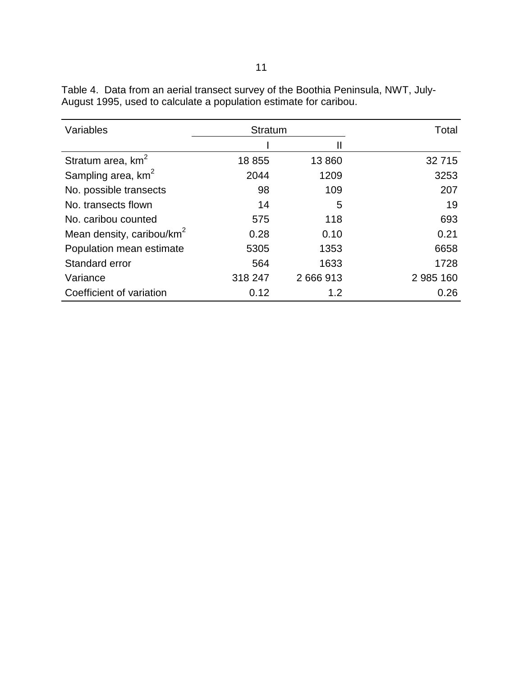| Variables                             | <b>Stratum</b> |           | Total     |
|---------------------------------------|----------------|-----------|-----------|
|                                       |                |           |           |
| Stratum area, km <sup>2</sup>         | 18 855         | 13 860    | 32 715    |
| Sampling area, km <sup>2</sup>        | 2044           | 1209      | 3253      |
| No. possible transects                | 98             | 109       | 207       |
| No. transects flown                   | 14             | 5         | 19        |
| No. caribou counted                   | 575            | 118       | 693       |
| Mean density, caribou/km <sup>2</sup> | 0.28           | 0.10      | 0.21      |
| Population mean estimate              | 5305           | 1353      | 6658      |
| Standard error                        | 564            | 1633      | 1728      |
| Variance                              | 318 247        | 2 666 913 | 2 985 160 |
| Coefficient of variation              | 0.12           | 1.2       | 0.26      |

Table 4. Data from an aerial transect survey of the Boothia Peninsula, NWT, July-August 1995, used to calculate a population estimate for caribou.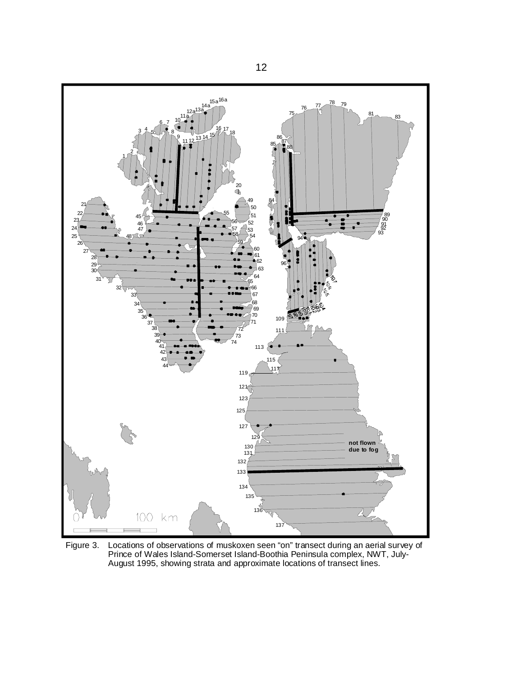

Figure 3. Locations of observations of muskoxen seen "on" transect during an aerial survey of Prince of Wales Island-Somerset Island-Boothia Peninsula complex, NWT, July-August 1995, showing strata and approximate locations of transect lines.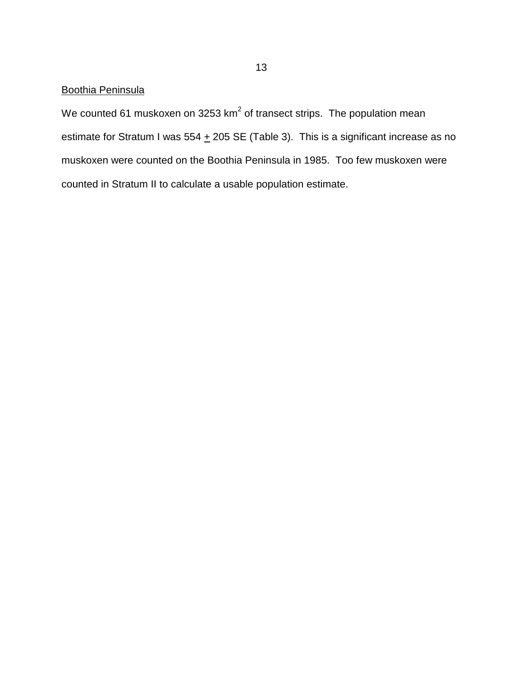# Boothia Peninsula

We counted 61 muskoxen on 3253 km<sup>2</sup> of transect strips. The population mean estimate for Stratum I was  $554 + 205$  SE (Table 3). This is a significant increase as no muskoxen were counted on the Boothia Peninsula in 1985. Too few muskoxen were counted in Stratum II to calculate a usable population estimate.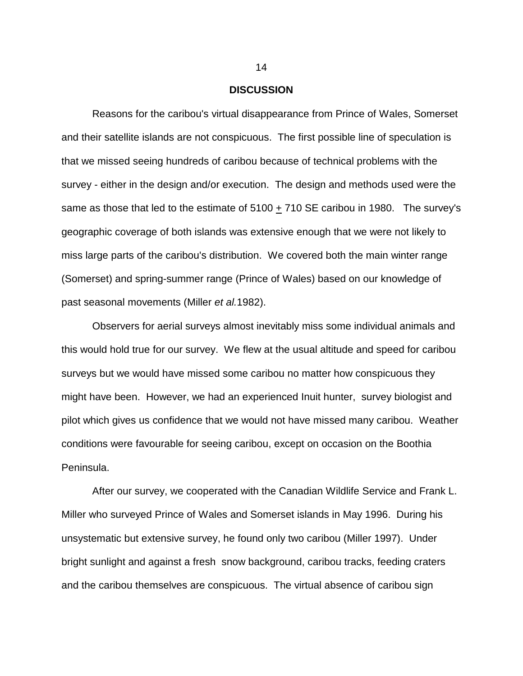### **DISCUSSION**

Reasons for the caribou's virtual disappearance from Prince of Wales, Somerset and their satellite islands are not conspicuous. The first possible line of speculation is that we missed seeing hundreds of caribou because of technical problems with the survey - either in the design and/or execution. The design and methods used were the same as those that led to the estimate of 5100 + 710 SE caribou in 1980. The survey's geographic coverage of both islands was extensive enough that we were not likely to miss large parts of the caribou's distribution. We covered both the main winter range (Somerset) and spring-summer range (Prince of Wales) based on our knowledge of past seasonal movements (Miller *et al.*1982).

Observers for aerial surveys almost inevitably miss some individual animals and this would hold true for our survey. We flew at the usual altitude and speed for caribou surveys but we would have missed some caribou no matter how conspicuous they might have been. However, we had an experienced Inuit hunter, survey biologist and pilot which gives us confidence that we would not have missed many caribou. Weather conditions were favourable for seeing caribou, except on occasion on the Boothia Peninsula.

After our survey, we cooperated with the Canadian Wildlife Service and Frank L. Miller who surveyed Prince of Wales and Somerset islands in May 1996. During his unsystematic but extensive survey, he found only two caribou (Miller 1997). Under bright sunlight and against a fresh snow background, caribou tracks, feeding craters and the caribou themselves are conspicuous. The virtual absence of caribou sign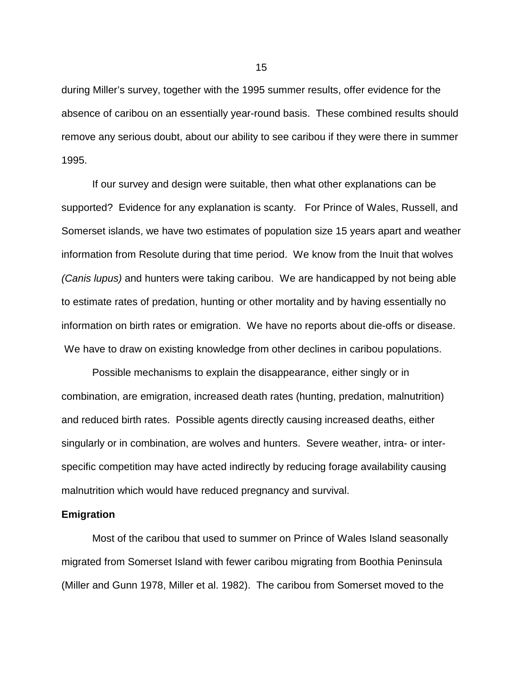during Miller's survey, together with the 1995 summer results, offer evidence for the absence of caribou on an essentially year-round basis. These combined results should remove any serious doubt, about our ability to see caribou if they were there in summer 1995.

If our survey and design were suitable, then what other explanations can be supported? Evidence for any explanation is scanty. For Prince of Wales, Russell, and Somerset islands, we have two estimates of population size 15 years apart and weather information from Resolute during that time period. We know from the Inuit that wolves *(Canis lupus)* and hunters were taking caribou. We are handicapped by not being able to estimate rates of predation, hunting or other mortality and by having essentially no information on birth rates or emigration. We have no reports about die-offs or disease. We have to draw on existing knowledge from other declines in caribou populations.

Possible mechanisms to explain the disappearance, either singly or in combination, are emigration, increased death rates (hunting, predation, malnutrition) and reduced birth rates. Possible agents directly causing increased deaths, either singularly or in combination, are wolves and hunters. Severe weather, intra- or interspecific competition may have acted indirectly by reducing forage availability causing malnutrition which would have reduced pregnancy and survival.

### **Emigration**

Most of the caribou that used to summer on Prince of Wales Island seasonally migrated from Somerset Island with fewer caribou migrating from Boothia Peninsula (Miller and Gunn 1978, Miller et al. 1982). The caribou from Somerset moved to the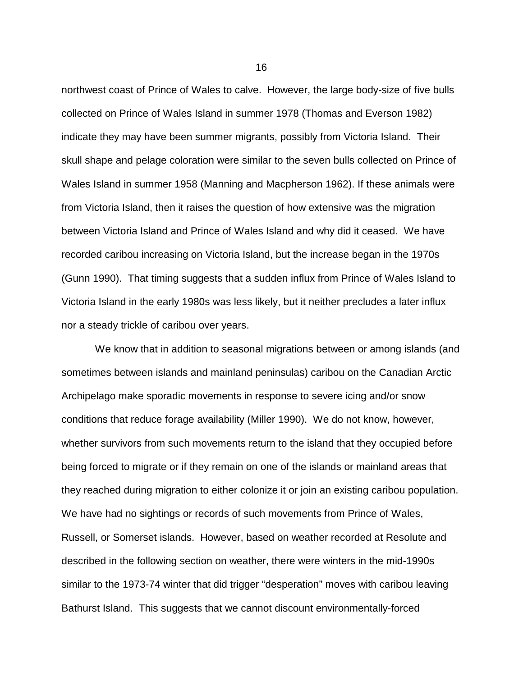northwest coast of Prince of Wales to calve. However, the large body-size of five bulls collected on Prince of Wales Island in summer 1978 (Thomas and Everson 1982) indicate they may have been summer migrants, possibly from Victoria Island. Their skull shape and pelage coloration were similar to the seven bulls collected on Prince of Wales Island in summer 1958 (Manning and Macpherson 1962). If these animals were from Victoria Island, then it raises the question of how extensive was the migration between Victoria Island and Prince of Wales Island and why did it ceased. We have recorded caribou increasing on Victoria Island, but the increase began in the 1970s (Gunn 1990). That timing suggests that a sudden influx from Prince of Wales Island to Victoria Island in the early 1980s was less likely, but it neither precludes a later influx nor a steady trickle of caribou over years.

 We know that in addition to seasonal migrations between or among islands (and sometimes between islands and mainland peninsulas) caribou on the Canadian Arctic Archipelago make sporadic movements in response to severe icing and/or snow conditions that reduce forage availability (Miller 1990). We do not know, however, whether survivors from such movements return to the island that they occupied before being forced to migrate or if they remain on one of the islands or mainland areas that they reached during migration to either colonize it or join an existing caribou population. We have had no sightings or records of such movements from Prince of Wales, Russell, or Somerset islands. However, based on weather recorded at Resolute and described in the following section on weather, there were winters in the mid-1990s similar to the 1973-74 winter that did trigger "desperation" moves with caribou leaving Bathurst Island. This suggests that we cannot discount environmentally-forced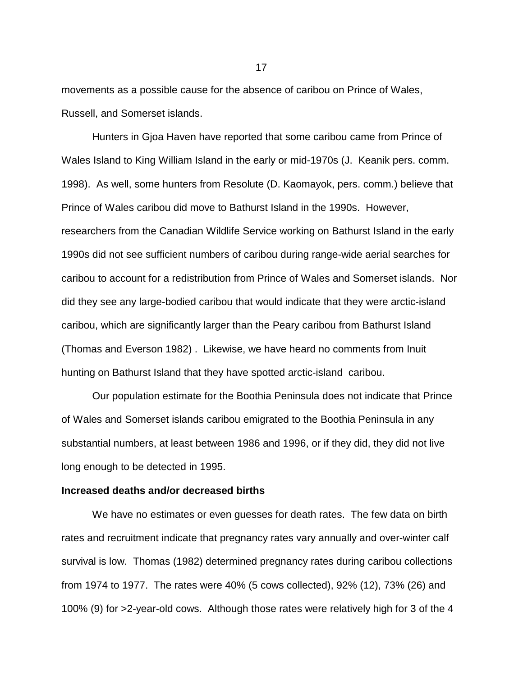movements as a possible cause for the absence of caribou on Prince of Wales, Russell, and Somerset islands.

Hunters in Gjoa Haven have reported that some caribou came from Prince of Wales Island to King William Island in the early or mid-1970s (J. Keanik pers. comm. 1998). As well, some hunters from Resolute (D. Kaomayok, pers. comm.) believe that Prince of Wales caribou did move to Bathurst Island in the 1990s. However, researchers from the Canadian Wildlife Service working on Bathurst Island in the early 1990s did not see sufficient numbers of caribou during range-wide aerial searches for caribou to account for a redistribution from Prince of Wales and Somerset islands. Nor did they see any large-bodied caribou that would indicate that they were arctic-island caribou, which are significantly larger than the Peary caribou from Bathurst Island (Thomas and Everson 1982) . Likewise, we have heard no comments from Inuit hunting on Bathurst Island that they have spotted arctic-island caribou.

Our population estimate for the Boothia Peninsula does not indicate that Prince of Wales and Somerset islands caribou emigrated to the Boothia Peninsula in any substantial numbers, at least between 1986 and 1996, or if they did, they did not live long enough to be detected in 1995.

### **Increased deaths and/or decreased births**

We have no estimates or even guesses for death rates. The few data on birth rates and recruitment indicate that pregnancy rates vary annually and over-winter calf survival is low. Thomas (1982) determined pregnancy rates during caribou collections from 1974 to 1977. The rates were 40% (5 cows collected), 92% (12), 73% (26) and 100% (9) for >2-year-old cows. Although those rates were relatively high for 3 of the 4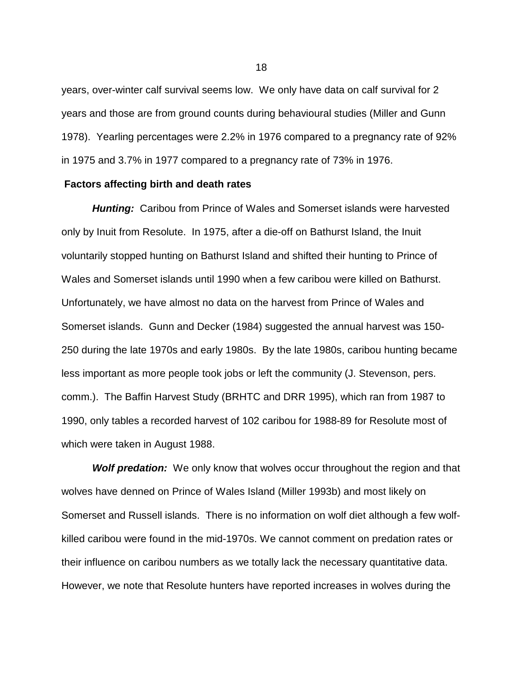years, over-winter calf survival seems low. We only have data on calf survival for 2 years and those are from ground counts during behavioural studies (Miller and Gunn 1978). Yearling percentages were 2.2% in 1976 compared to a pregnancy rate of 92% in 1975 and 3.7% in 1977 compared to a pregnancy rate of 73% in 1976.

### **Factors affecting birth and death rates**

*Hunting:* Caribou from Prince of Wales and Somerset islands were harvested only by Inuit from Resolute. In 1975, after a die-off on Bathurst Island, the Inuit voluntarily stopped hunting on Bathurst Island and shifted their hunting to Prince of Wales and Somerset islands until 1990 when a few caribou were killed on Bathurst. Unfortunately, we have almost no data on the harvest from Prince of Wales and Somerset islands. Gunn and Decker (1984) suggested the annual harvest was 150- 250 during the late 1970s and early 1980s. By the late 1980s, caribou hunting became less important as more people took jobs or left the community (J. Stevenson, pers. comm.). The Baffin Harvest Study (BRHTC and DRR 1995), which ran from 1987 to 1990, only tables a recorded harvest of 102 caribou for 1988-89 for Resolute most of which were taken in August 1988.

**Wolf predation:** We only know that wolves occur throughout the region and that wolves have denned on Prince of Wales Island (Miller 1993b) and most likely on Somerset and Russell islands. There is no information on wolf diet although a few wolfkilled caribou were found in the mid-1970s. We cannot comment on predation rates or their influence on caribou numbers as we totally lack the necessary quantitative data. However, we note that Resolute hunters have reported increases in wolves during the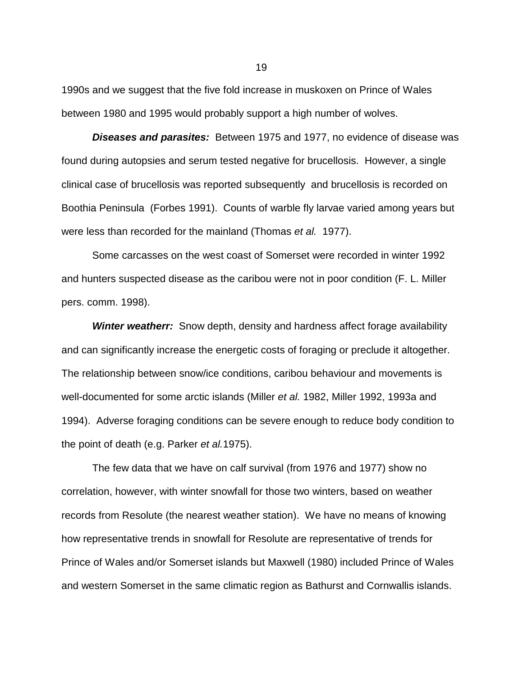1990s and we suggest that the five fold increase in muskoxen on Prince of Wales between 1980 and 1995 would probably support a high number of wolves.

*Diseases and parasites:* Between 1975 and 1977, no evidence of disease was found during autopsies and serum tested negative for brucellosis. However, a single clinical case of brucellosis was reported subsequently and brucellosis is recorded on Boothia Peninsula (Forbes 1991). Counts of warble fly larvae varied among years but were less than recorded for the mainland (Thomas *et al.* 1977).

Some carcasses on the west coast of Somerset were recorded in winter 1992 and hunters suspected disease as the caribou were not in poor condition (F. L. Miller pers. comm. 1998).

*Winter weatherr:* Snow depth, density and hardness affect forage availability and can significantly increase the energetic costs of foraging or preclude it altogether. The relationship between snow/ice conditions, caribou behaviour and movements is well-documented for some arctic islands (Miller *et al.* 1982, Miller 1992, 1993a and 1994). Adverse foraging conditions can be severe enough to reduce body condition to the point of death (e.g. Parker *et al.*1975).

The few data that we have on calf survival (from 1976 and 1977) show no correlation, however, with winter snowfall for those two winters, based on weather records from Resolute (the nearest weather station). We have no means of knowing how representative trends in snowfall for Resolute are representative of trends for Prince of Wales and/or Somerset islands but Maxwell (1980) included Prince of Wales and western Somerset in the same climatic region as Bathurst and Cornwallis islands.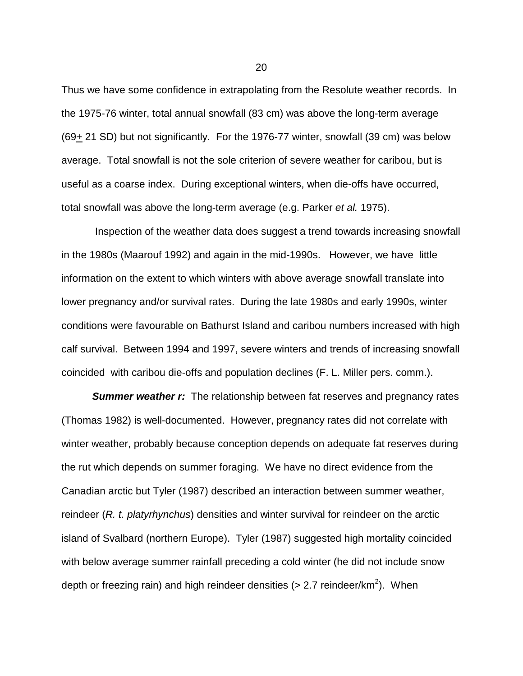Thus we have some confidence in extrapolating from the Resolute weather records. In the 1975-76 winter, total annual snowfall (83 cm) was above the long-term average (69+ 21 SD) but not significantly. For the 1976-77 winter, snowfall (39 cm) was below average. Total snowfall is not the sole criterion of severe weather for caribou, but is useful as a coarse index. During exceptional winters, when die-offs have occurred, total snowfall was above the long-term average (e.g. Parker *et al.* 1975).

 Inspection of the weather data does suggest a trend towards increasing snowfall in the 1980s (Maarouf 1992) and again in the mid-1990s. However, we have little information on the extent to which winters with above average snowfall translate into lower pregnancy and/or survival rates. During the late 1980s and early 1990s, winter conditions were favourable on Bathurst Island and caribou numbers increased with high calf survival. Between 1994 and 1997, severe winters and trends of increasing snowfall coincided with caribou die-offs and population declines (F. L. Miller pers. comm.).

**Summer weather r:** The relationship between fat reserves and pregnancy rates (Thomas 1982) is well-documented. However, pregnancy rates did not correlate with winter weather, probably because conception depends on adequate fat reserves during the rut which depends on summer foraging. We have no direct evidence from the Canadian arctic but Tyler (1987) described an interaction between summer weather, reindeer (*R. t. platyrhynchus*) densities and winter survival for reindeer on the arctic island of Svalbard (northern Europe). Tyler (1987) suggested high mortality coincided with below average summer rainfall preceding a cold winter (he did not include snow depth or freezing rain) and high reindeer densities (> 2.7 reindeer/km<sup>2</sup>). When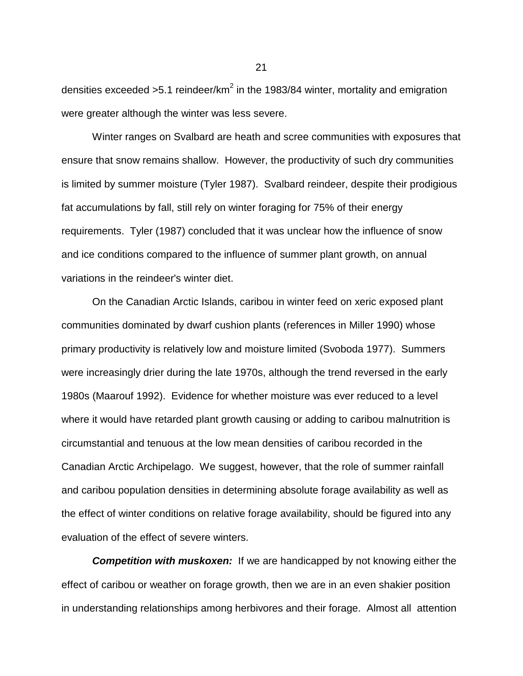densities exceeded >5.1 reindeer/km<sup>2</sup> in the 1983/84 winter, mortality and emigration were greater although the winter was less severe.

Winter ranges on Svalbard are heath and scree communities with exposures that ensure that snow remains shallow. However, the productivity of such dry communities is limited by summer moisture (Tyler 1987). Svalbard reindeer, despite their prodigious fat accumulations by fall, still rely on winter foraging for 75% of their energy requirements. Tyler (1987) concluded that it was unclear how the influence of snow and ice conditions compared to the influence of summer plant growth, on annual variations in the reindeer's winter diet.

On the Canadian Arctic Islands, caribou in winter feed on xeric exposed plant communities dominated by dwarf cushion plants (references in Miller 1990) whose primary productivity is relatively low and moisture limited (Svoboda 1977). Summers were increasingly drier during the late 1970s, although the trend reversed in the early 1980s (Maarouf 1992). Evidence for whether moisture was ever reduced to a level where it would have retarded plant growth causing or adding to caribou malnutrition is circumstantial and tenuous at the low mean densities of caribou recorded in the Canadian Arctic Archipelago. We suggest, however, that the role of summer rainfall and caribou population densities in determining absolute forage availability as well as the effect of winter conditions on relative forage availability, should be figured into any evaluation of the effect of severe winters.

**Competition with muskoxen:** If we are handicapped by not knowing either the effect of caribou or weather on forage growth, then we are in an even shakier position in understanding relationships among herbivores and their forage. Almost all attention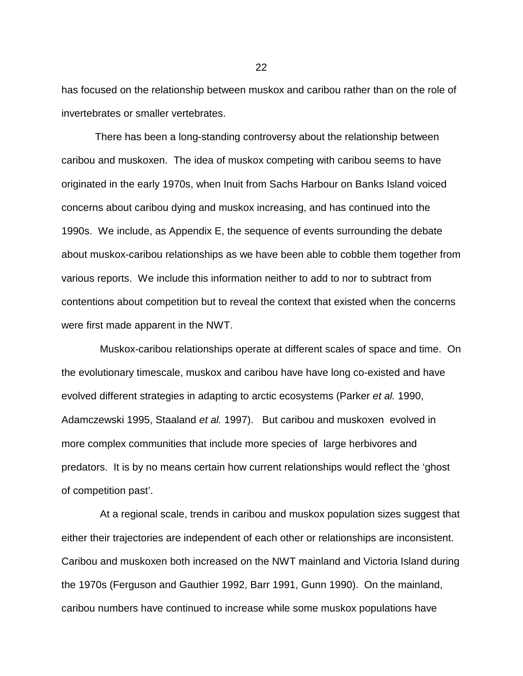has focused on the relationship between muskox and caribou rather than on the role of invertebrates or smaller vertebrates.

 There has been a long-standing controversy about the relationship between caribou and muskoxen. The idea of muskox competing with caribou seems to have originated in the early 1970s, when Inuit from Sachs Harbour on Banks Island voiced concerns about caribou dying and muskox increasing, and has continued into the 1990s. We include, as Appendix E, the sequence of events surrounding the debate about muskox-caribou relationships as we have been able to cobble them together from various reports. We include this information neither to add to nor to subtract from contentions about competition but to reveal the context that existed when the concerns were first made apparent in the NWT.

Muskox-caribou relationships operate at different scales of space and time. On the evolutionary timescale, muskox and caribou have have long co-existed and have evolved different strategies in adapting to arctic ecosystems (Parker *et al.* 1990, Adamczewski 1995, Staaland *et al.* 1997). But caribou and muskoxen evolved in more complex communities that include more species of large herbivores and predators. It is by no means certain how current relationships would reflect the 'ghost of competition past'.

At a regional scale, trends in caribou and muskox population sizes suggest that either their trajectories are independent of each other or relationships are inconsistent. Caribou and muskoxen both increased on the NWT mainland and Victoria Island during the 1970s (Ferguson and Gauthier 1992, Barr 1991, Gunn 1990). On the mainland, caribou numbers have continued to increase while some muskox populations have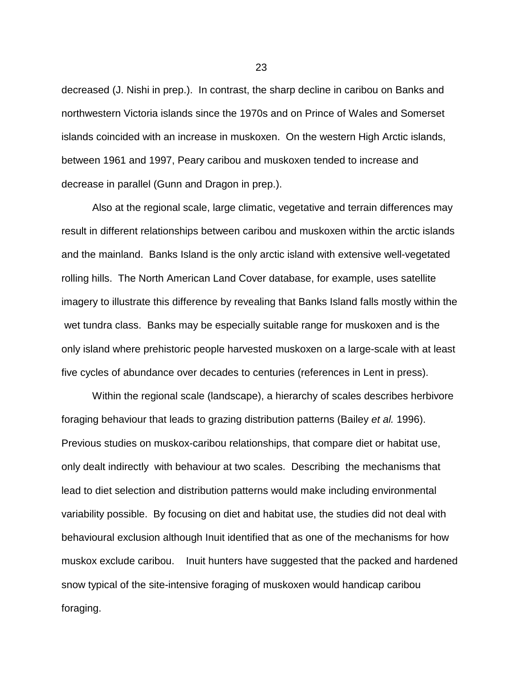decreased (J. Nishi in prep.). In contrast, the sharp decline in caribou on Banks and northwestern Victoria islands since the 1970s and on Prince of Wales and Somerset islands coincided with an increase in muskoxen. On the western High Arctic islands, between 1961 and 1997, Peary caribou and muskoxen tended to increase and decrease in parallel (Gunn and Dragon in prep.).

Also at the regional scale, large climatic, vegetative and terrain differences may result in different relationships between caribou and muskoxen within the arctic islands and the mainland. Banks Island is the only arctic island with extensive well-vegetated rolling hills. The North American Land Cover database, for example, uses satellite imagery to illustrate this difference by revealing that Banks Island falls mostly within the wet tundra class. Banks may be especially suitable range for muskoxen and is the only island where prehistoric people harvested muskoxen on a large-scale with at least five cycles of abundance over decades to centuries (references in Lent in press).

Within the regional scale (landscape), a hierarchy of scales describes herbivore foraging behaviour that leads to grazing distribution patterns (Bailey *et al.* 1996). Previous studies on muskox-caribou relationships, that compare diet or habitat use, only dealt indirectly with behaviour at two scales. Describing the mechanisms that lead to diet selection and distribution patterns would make including environmental variability possible. By focusing on diet and habitat use, the studies did not deal with behavioural exclusion although Inuit identified that as one of the mechanisms for how muskox exclude caribou. Inuit hunters have suggested that the packed and hardened snow typical of the site-intensive foraging of muskoxen would handicap caribou foraging.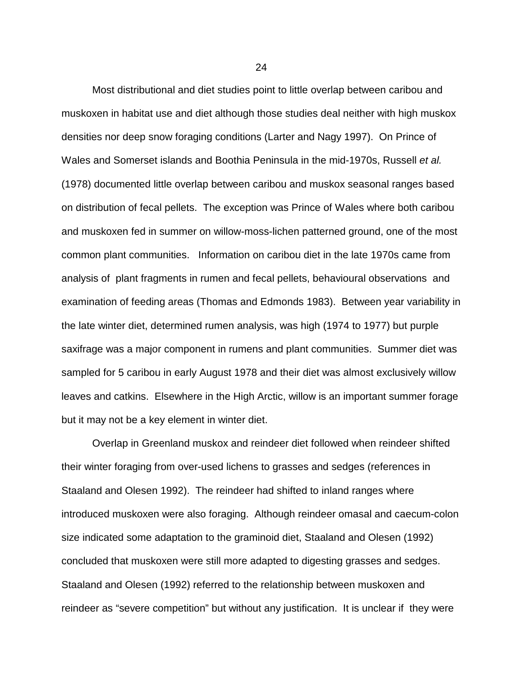Most distributional and diet studies point to little overlap between caribou and muskoxen in habitat use and diet although those studies deal neither with high muskox densities nor deep snow foraging conditions (Larter and Nagy 1997). On Prince of Wales and Somerset islands and Boothia Peninsula in the mid-1970s, Russell *et al.* (1978) documented little overlap between caribou and muskox seasonal ranges based on distribution of fecal pellets. The exception was Prince of Wales where both caribou and muskoxen fed in summer on willow-moss-lichen patterned ground, one of the most common plant communities. Information on caribou diet in the late 1970s came from analysis of plant fragments in rumen and fecal pellets, behavioural observations and examination of feeding areas (Thomas and Edmonds 1983). Between year variability in the late winter diet, determined rumen analysis, was high (1974 to 1977) but purple saxifrage was a major component in rumens and plant communities. Summer diet was sampled for 5 caribou in early August 1978 and their diet was almost exclusively willow leaves and catkins. Elsewhere in the High Arctic, willow is an important summer forage but it may not be a key element in winter diet.

Overlap in Greenland muskox and reindeer diet followed when reindeer shifted their winter foraging from over-used lichens to grasses and sedges (references in Staaland and Olesen 1992). The reindeer had shifted to inland ranges where introduced muskoxen were also foraging. Although reindeer omasal and caecum-colon size indicated some adaptation to the graminoid diet, Staaland and Olesen (1992) concluded that muskoxen were still more adapted to digesting grasses and sedges. Staaland and Olesen (1992) referred to the relationship between muskoxen and reindeer as "severe competition" but without any justification. It is unclear if they were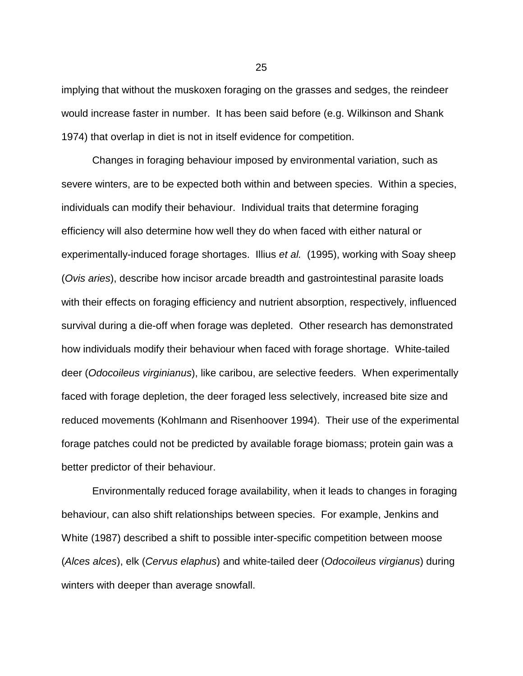implying that without the muskoxen foraging on the grasses and sedges, the reindeer would increase faster in number. It has been said before (e.g. Wilkinson and Shank 1974) that overlap in diet is not in itself evidence for competition.

Changes in foraging behaviour imposed by environmental variation, such as severe winters, are to be expected both within and between species. Within a species, individuals can modify their behaviour. Individual traits that determine foraging efficiency will also determine how well they do when faced with either natural or experimentally-induced forage shortages. Illius *et al.* (1995), working with Soay sheep (*Ovis aries*), describe how incisor arcade breadth and gastrointestinal parasite loads with their effects on foraging efficiency and nutrient absorption, respectively, influenced survival during a die-off when forage was depleted. Other research has demonstrated how individuals modify their behaviour when faced with forage shortage. White-tailed deer (*Odocoileus virginianus*), like caribou, are selective feeders. When experimentally faced with forage depletion, the deer foraged less selectively, increased bite size and reduced movements (Kohlmann and Risenhoover 1994). Their use of the experimental forage patches could not be predicted by available forage biomass; protein gain was a better predictor of their behaviour.

Environmentally reduced forage availability, when it leads to changes in foraging behaviour, can also shift relationships between species. For example, Jenkins and White (1987) described a shift to possible inter-specific competition between moose (*Alces alces*), elk (*Cervus elaphus*) and white-tailed deer (*Odocoileus virgianus*) during winters with deeper than average snowfall.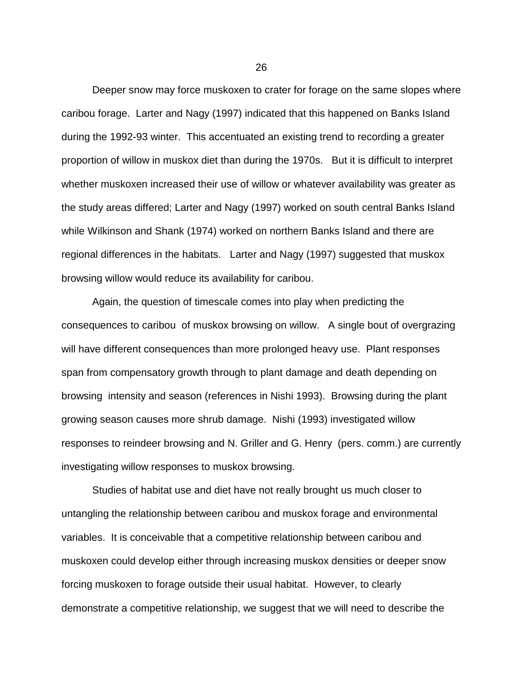Deeper snow may force muskoxen to crater for forage on the same slopes where caribou forage. Larter and Nagy (1997) indicated that this happened on Banks Island during the 1992-93 winter. This accentuated an existing trend to recording a greater proportion of willow in muskox diet than during the 1970s. But it is difficult to interpret whether muskoxen increased their use of willow or whatever availability was greater as the study areas differed; Larter and Nagy (1997) worked on south central Banks Island while Wilkinson and Shank (1974) worked on northern Banks Island and there are regional differences in the habitats. Larter and Nagy (1997) suggested that muskox browsing willow would reduce its availability for caribou.

Again, the question of timescale comes into play when predicting the consequences to caribou of muskox browsing on willow. A single bout of overgrazing will have different consequences than more prolonged heavy use. Plant responses span from compensatory growth through to plant damage and death depending on browsing intensity and season (references in Nishi 1993). Browsing during the plant growing season causes more shrub damage. Nishi (1993) investigated willow responses to reindeer browsing and N. Griller and G. Henry (pers. comm.) are currently investigating willow responses to muskox browsing.

Studies of habitat use and diet have not really brought us much closer to untangling the relationship between caribou and muskox forage and environmental variables. It is conceivable that a competitive relationship between caribou and muskoxen could develop either through increasing muskox densities or deeper snow forcing muskoxen to forage outside their usual habitat. However, to clearly demonstrate a competitive relationship, we suggest that we will need to describe the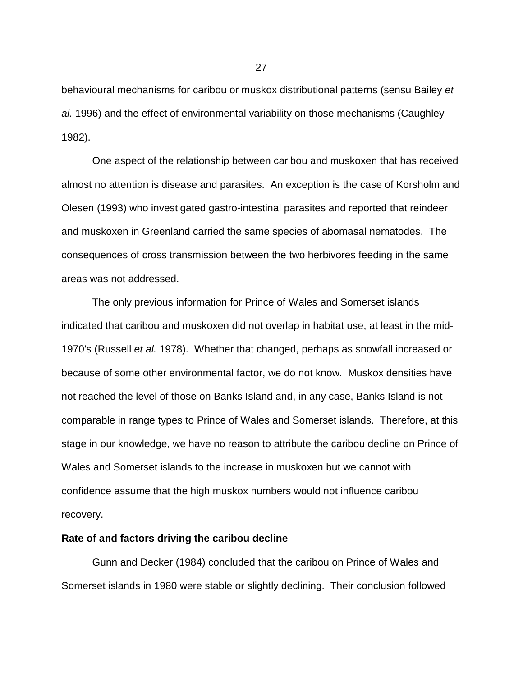behavioural mechanisms for caribou or muskox distributional patterns (sensu Bailey *et al.* 1996) and the effect of environmental variability on those mechanisms (Caughley 1982).

One aspect of the relationship between caribou and muskoxen that has received almost no attention is disease and parasites. An exception is the case of Korsholm and Olesen (1993) who investigated gastro-intestinal parasites and reported that reindeer and muskoxen in Greenland carried the same species of abomasal nematodes. The consequences of cross transmission between the two herbivores feeding in the same areas was not addressed.

The only previous information for Prince of Wales and Somerset islands indicated that caribou and muskoxen did not overlap in habitat use, at least in the mid-1970's (Russell *et al.* 1978). Whether that changed, perhaps as snowfall increased or because of some other environmental factor, we do not know. Muskox densities have not reached the level of those on Banks Island and, in any case, Banks Island is not comparable in range types to Prince of Wales and Somerset islands. Therefore, at this stage in our knowledge, we have no reason to attribute the caribou decline on Prince of Wales and Somerset islands to the increase in muskoxen but we cannot with confidence assume that the high muskox numbers would not influence caribou recovery.

### **Rate of and factors driving the caribou decline**

Gunn and Decker (1984) concluded that the caribou on Prince of Wales and Somerset islands in 1980 were stable or slightly declining. Their conclusion followed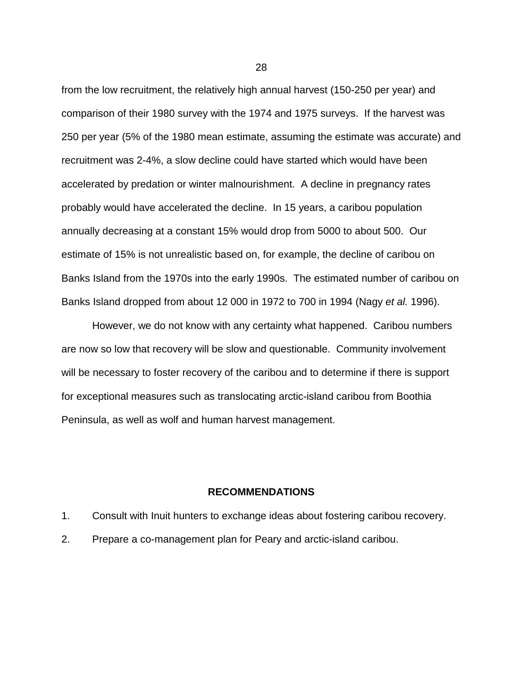from the low recruitment, the relatively high annual harvest (150-250 per year) and comparison of their 1980 survey with the 1974 and 1975 surveys. If the harvest was 250 per year (5% of the 1980 mean estimate, assuming the estimate was accurate) and recruitment was 2-4%, a slow decline could have started which would have been accelerated by predation or winter malnourishment. A decline in pregnancy rates probably would have accelerated the decline. In 15 years, a caribou population annually decreasing at a constant 15% would drop from 5000 to about 500. Our estimate of 15% is not unrealistic based on, for example, the decline of caribou on Banks Island from the 1970s into the early 1990s. The estimated number of caribou on Banks Island dropped from about 12 000 in 1972 to 700 in 1994 (Nagy *et al.* 1996).

However, we do not know with any certainty what happened. Caribou numbers are now so low that recovery will be slow and questionable. Community involvement will be necessary to foster recovery of the caribou and to determine if there is support for exceptional measures such as translocating arctic-island caribou from Boothia Peninsula, as well as wolf and human harvest management.

### **RECOMMENDATIONS**

- 1. Consult with Inuit hunters to exchange ideas about fostering caribou recovery.
- 2. Prepare a co-management plan for Peary and arctic-island caribou.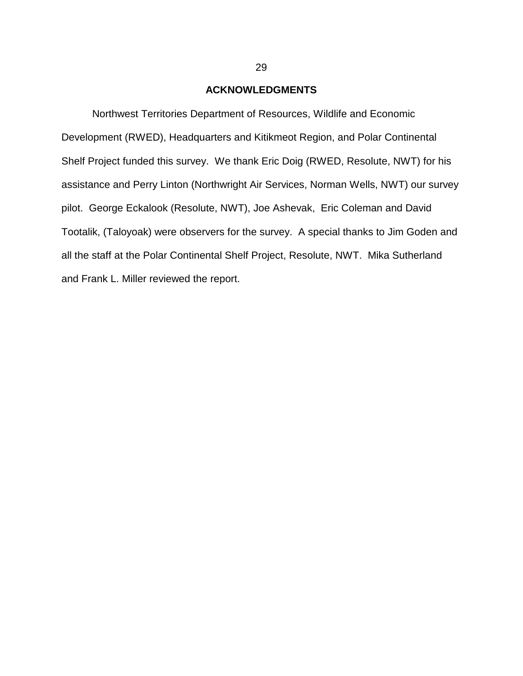### **ACKNOWLEDGMENTS**

Northwest Territories Department of Resources, Wildlife and Economic Development (RWED), Headquarters and Kitikmeot Region, and Polar Continental Shelf Project funded this survey. We thank Eric Doig (RWED, Resolute, NWT) for his assistance and Perry Linton (Northwright Air Services, Norman Wells, NWT) our survey pilot. George Eckalook (Resolute, NWT), Joe Ashevak, Eric Coleman and David Tootalik, (Taloyoak) were observers for the survey. A special thanks to Jim Goden and all the staff at the Polar Continental Shelf Project, Resolute, NWT. Mika Sutherland and Frank L. Miller reviewed the report.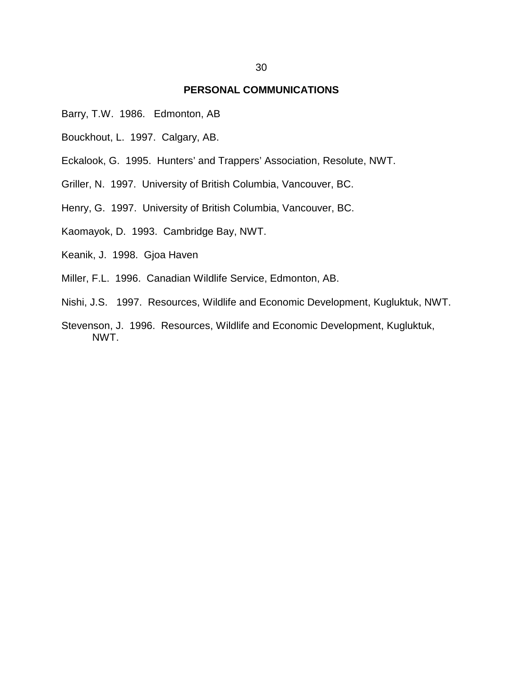### **PERSONAL COMMUNICATIONS**

- Barry, T.W. 1986. Edmonton, AB
- Bouckhout, L. 1997. Calgary, AB.
- Eckalook, G. 1995. Hunters' and Trappers' Association, Resolute, NWT.
- Griller, N. 1997. University of British Columbia, Vancouver, BC.
- Henry, G. 1997. University of British Columbia, Vancouver, BC.
- Kaomayok, D. 1993. Cambridge Bay, NWT.
- Keanik, J. 1998. Gjoa Haven
- Miller, F.L. 1996. Canadian Wildlife Service, Edmonton, AB.
- Nishi, J.S. 1997. Resources, Wildlife and Economic Development, Kugluktuk, NWT.
- Stevenson, J. 1996. Resources, Wildlife and Economic Development, Kugluktuk, NWT.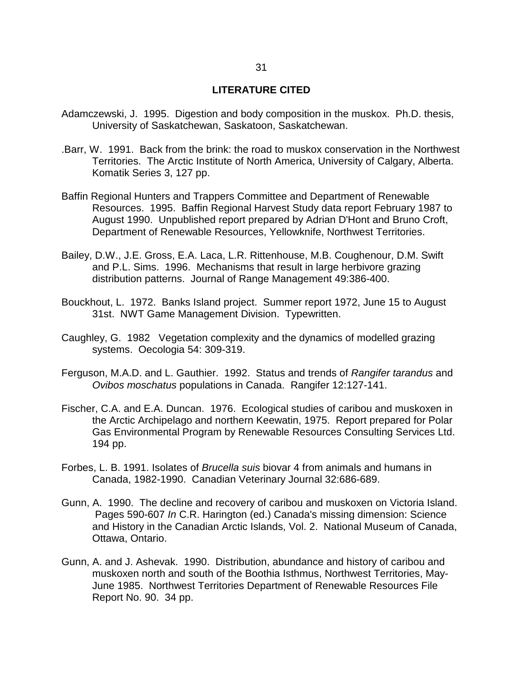## **LITERATURE CITED**

- Adamczewski, J. 1995. Digestion and body composition in the muskox. Ph.D. thesis, University of Saskatchewan, Saskatoon, Saskatchewan.
- .Barr, W. 1991. Back from the brink: the road to muskox conservation in the Northwest Territories. The Arctic Institute of North America, University of Calgary, Alberta. Komatik Series 3, 127 pp.
- Baffin Regional Hunters and Trappers Committee and Department of Renewable Resources. 1995. Baffin Regional Harvest Study data report February 1987 to August 1990. Unpublished report prepared by Adrian D'Hont and Bruno Croft, Department of Renewable Resources, Yellowknife, Northwest Territories.
- Bailey, D.W., J.E. Gross, E.A. Laca, L.R. Rittenhouse, M.B. Coughenour, D.M. Swift and P.L. Sims. 1996. Mechanisms that result in large herbivore grazing distribution patterns. Journal of Range Management 49:386-400.
- Bouckhout, L. 1972. Banks Island project. Summer report 1972, June 15 to August 31st. NWT Game Management Division. Typewritten.
- Caughley, G. 1982 Vegetation complexity and the dynamics of modelled grazing systems. Oecologia 54: 309-319.
- Ferguson, M.A.D. and L. Gauthier. 1992. Status and trends of *Rangifer tarandus* and *Ovibos moschatus* populations in Canada. Rangifer 12:127-141.
- Fischer, C.A. and E.A. Duncan. 1976. Ecological studies of caribou and muskoxen in the Arctic Archipelago and northern Keewatin, 1975. Report prepared for Polar Gas Environmental Program by Renewable Resources Consulting Services Ltd. 194 pp.
- Forbes, L. B. 1991. Isolates of *Brucella suis* biovar 4 from animals and humans in Canada, 1982-1990. Canadian Veterinary Journal 32:686-689.
- Gunn, A. 1990. The decline and recovery of caribou and muskoxen on Victoria Island. Pages 590-607 *In* C.R. Harington (ed.) Canada's missing dimension: Science and History in the Canadian Arctic Islands, Vol. 2. National Museum of Canada, Ottawa, Ontario.
- Gunn, A. and J. Ashevak. 1990. Distribution, abundance and history of caribou and muskoxen north and south of the Boothia Isthmus, Northwest Territories, May-June 1985. Northwest Territories Department of Renewable Resources File Report No. 90. 34 pp.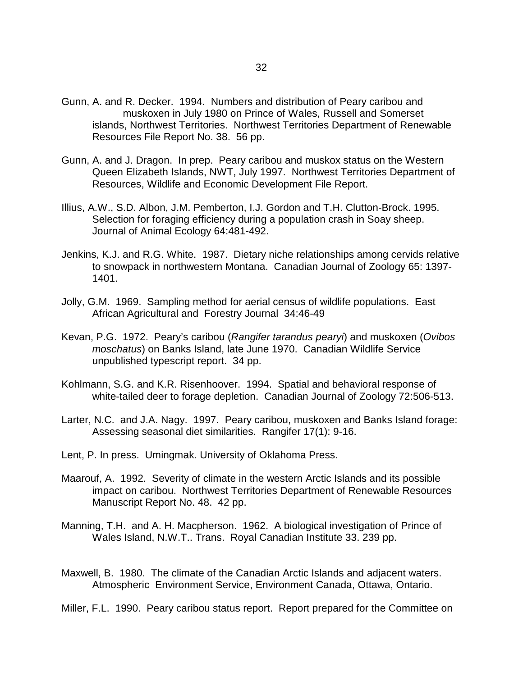- Gunn, A. and R. Decker. 1994. Numbers and distribution of Peary caribou and muskoxen in July 1980 on Prince of Wales, Russell and Somerset islands, Northwest Territories. Northwest Territories Department of Renewable Resources File Report No. 38. 56 pp.
- Gunn, A. and J. Dragon. In prep. Peary caribou and muskox status on the Western Queen Elizabeth Islands, NWT, July 1997. Northwest Territories Department of Resources, Wildlife and Economic Development File Report.
- Illius, A.W., S.D. Albon, J.M. Pemberton, I.J. Gordon and T.H. Clutton-Brock. 1995. Selection for foraging efficiency during a population crash in Soay sheep. Journal of Animal Ecology 64:481-492.
- Jenkins, K.J. and R.G. White. 1987. Dietary niche relationships among cervids relative to snowpack in northwestern Montana. Canadian Journal of Zoology 65: 1397- 1401.
- Jolly, G.M. 1969. Sampling method for aerial census of wildlife populations. East African Agricultural and Forestry Journal 34:46-49
- Kevan, P.G. 1972. Peary's caribou (*Rangifer tarandus pearyi*) and muskoxen (*Ovibos moschatus*) on Banks Island, late June 1970. Canadian Wildlife Service unpublished typescript report. 34 pp.
- Kohlmann, S.G. and K.R. Risenhoover. 1994. Spatial and behavioral response of white-tailed deer to forage depletion. Canadian Journal of Zoology 72:506-513.
- Larter, N.C. and J.A. Nagy. 1997. Peary caribou, muskoxen and Banks Island forage: Assessing seasonal diet similarities. Rangifer 17(1): 9-16.
- Lent, P. In press. Umingmak. University of Oklahoma Press.
- Maarouf, A. 1992. Severity of climate in the western Arctic Islands and its possible impact on caribou. Northwest Territories Department of Renewable Resources Manuscript Report No. 48. 42 pp.
- Manning, T.H. and A. H. Macpherson. 1962. A biological investigation of Prince of Wales Island, N.W.T.. Trans. Royal Canadian Institute 33. 239 pp.
- Maxwell, B. 1980. The climate of the Canadian Arctic Islands and adjacent waters. Atmospheric Environment Service, Environment Canada, Ottawa, Ontario.

Miller, F.L. 1990. Peary caribou status report. Report prepared for the Committee on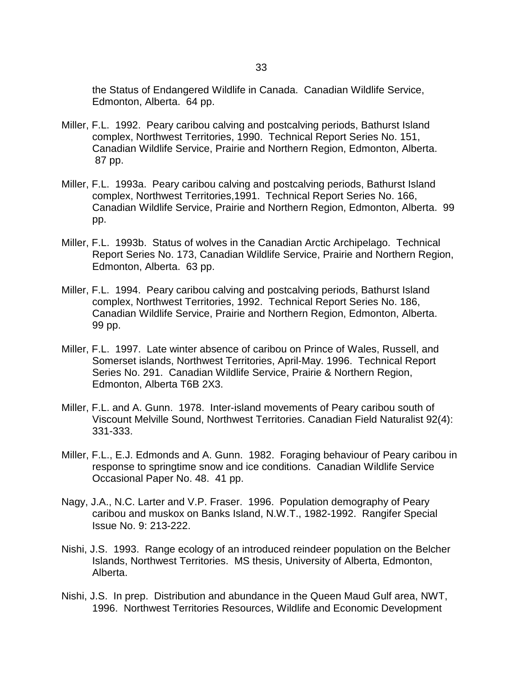the Status of Endangered Wildlife in Canada. Canadian Wildlife Service, Edmonton, Alberta. 64 pp.

- Miller, F.L. 1992. Peary caribou calving and postcalving periods, Bathurst Island complex, Northwest Territories, 1990. Technical Report Series No. 151, Canadian Wildlife Service, Prairie and Northern Region, Edmonton, Alberta. 87 pp.
- Miller, F.L. 1993a. Peary caribou calving and postcalving periods, Bathurst Island complex, Northwest Territories,1991. Technical Report Series No. 166, Canadian Wildlife Service, Prairie and Northern Region, Edmonton, Alberta. 99 pp.
- Miller, F.L. 1993b. Status of wolves in the Canadian Arctic Archipelago. Technical Report Series No. 173, Canadian Wildlife Service, Prairie and Northern Region, Edmonton, Alberta. 63 pp.
- Miller, F.L. 1994. Peary caribou calving and postcalving periods, Bathurst Island complex, Northwest Territories, 1992. Technical Report Series No. 186, Canadian Wildlife Service, Prairie and Northern Region, Edmonton, Alberta. 99 pp.
- Miller, F.L. 1997. Late winter absence of caribou on Prince of Wales, Russell, and Somerset islands, Northwest Territories, April-May. 1996. Technical Report Series No. 291. Canadian Wildlife Service, Prairie & Northern Region, Edmonton, Alberta T6B 2X3.
- Miller, F.L. and A. Gunn. 1978. Inter-island movements of Peary caribou south of Viscount Melville Sound, Northwest Territories. Canadian Field Naturalist 92(4): 331-333.
- Miller, F.L., E.J. Edmonds and A. Gunn. 1982. Foraging behaviour of Peary caribou in response to springtime snow and ice conditions. Canadian Wildlife Service Occasional Paper No. 48. 41 pp.
- Nagy, J.A., N.C. Larter and V.P. Fraser. 1996. Population demography of Peary caribou and muskox on Banks Island, N.W.T., 1982-1992. Rangifer Special Issue No. 9: 213-222.
- Nishi, J.S. 1993. Range ecology of an introduced reindeer population on the Belcher Islands, Northwest Territories. MS thesis, University of Alberta, Edmonton, Alberta.
- Nishi, J.S. In prep. Distribution and abundance in the Queen Maud Gulf area, NWT, 1996. Northwest Territories Resources, Wildlife and Economic Development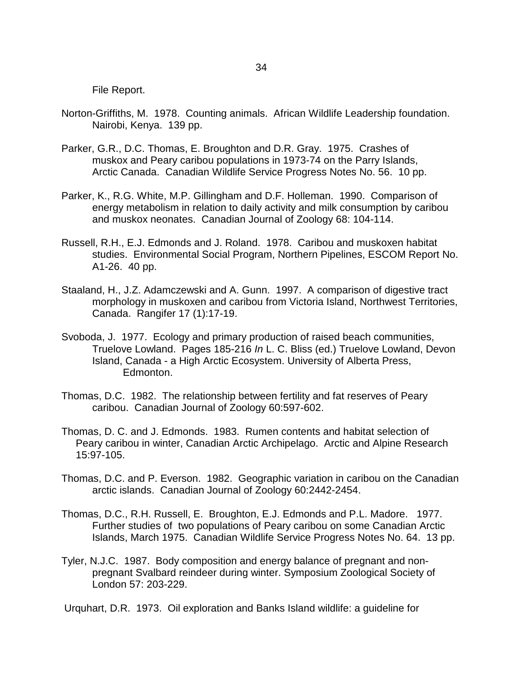File Report.

- Norton-Griffiths, M. 1978. Counting animals. African Wildlife Leadership foundation. Nairobi, Kenya. 139 pp.
- Parker, G.R., D.C. Thomas, E. Broughton and D.R. Gray. 1975. Crashes of muskox and Peary caribou populations in 1973-74 on the Parry Islands, Arctic Canada. Canadian Wildlife Service Progress Notes No. 56. 10 pp.
- Parker, K., R.G. White, M.P. Gillingham and D.F. Holleman. 1990. Comparison of energy metabolism in relation to daily activity and milk consumption by caribou and muskox neonates. Canadian Journal of Zoology 68: 104-114.
- Russell, R.H., E.J. Edmonds and J. Roland. 1978. Caribou and muskoxen habitat studies. Environmental Social Program, Northern Pipelines, ESCOM Report No. A1-26. 40 pp.
- Staaland, H., J.Z. Adamczewski and A. Gunn. 1997. A comparison of digestive tract morphology in muskoxen and caribou from Victoria Island, Northwest Territories, Canada. Rangifer 17 (1):17-19.
- Svoboda, J. 1977. Ecology and primary production of raised beach communities, Truelove Lowland. Pages 185-216 *In* L. C. Bliss (ed.) Truelove Lowland, Devon Island, Canada - a High Arctic Ecosystem. University of Alberta Press, Edmonton.
- Thomas, D.C. 1982. The relationship between fertility and fat reserves of Peary caribou. Canadian Journal of Zoology 60:597-602.
- Thomas, D. C. and J. Edmonds. 1983. Rumen contents and habitat selection of Peary caribou in winter, Canadian Arctic Archipelago. Arctic and Alpine Research 15:97-105.
- Thomas, D.C. and P. Everson. 1982. Geographic variation in caribou on the Canadian arctic islands. Canadian Journal of Zoology 60:2442-2454.
- Thomas, D.C., R.H. Russell, E. Broughton, E.J. Edmonds and P.L. Madore. 1977. Further studies of two populations of Peary caribou on some Canadian Arctic Islands, March 1975. Canadian Wildlife Service Progress Notes No. 64. 13 pp.
- Tyler, N.J.C. 1987. Body composition and energy balance of pregnant and nonpregnant Svalbard reindeer during winter. Symposium Zoological Society of London 57: 203-229.

Urquhart, D.R. 1973. Oil exploration and Banks Island wildlife: a guideline for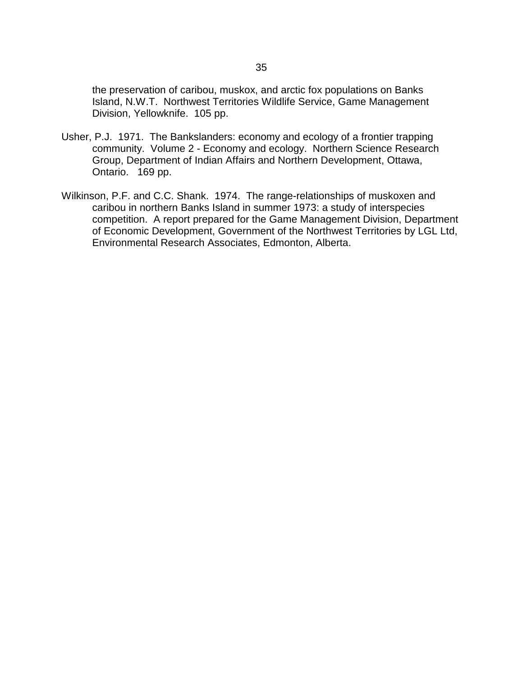the preservation of caribou, muskox, and arctic fox populations on Banks Island, N.W.T. Northwest Territories Wildlife Service, Game Management Division, Yellowknife. 105 pp.

- Usher, P.J. 1971. The Bankslanders: economy and ecology of a frontier trapping community. Volume 2 - Economy and ecology. Northern Science Research Group, Department of Indian Affairs and Northern Development, Ottawa, Ontario. 169 pp.
- Wilkinson, P.F. and C.C. Shank. 1974. The range-relationships of muskoxen and caribou in northern Banks Island in summer 1973: a study of interspecies competition. A report prepared for the Game Management Division, Department of Economic Development, Government of the Northwest Territories by LGL Ltd, Environmental Research Associates, Edmonton, Alberta.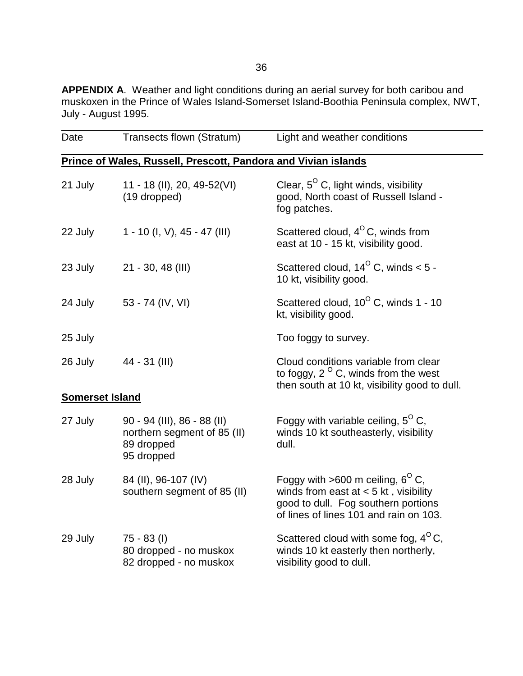**APPENDIX A**. Weather and light conditions during an aerial survey for both caribou and muskoxen in the Prince of Wales Island-Somerset Island-Boothia Peninsula complex, NWT, July - August 1995.

| Date                   | Transects flown (Stratum)                                                                | Light and weather conditions                                                                                                                                          |
|------------------------|------------------------------------------------------------------------------------------|-----------------------------------------------------------------------------------------------------------------------------------------------------------------------|
|                        | Prince of Wales, Russell, Prescott, Pandora and Vivian islands                           |                                                                                                                                                                       |
| 21 July                | 11 - 18 (II), 20, 49-52(VI)<br>(19 dropped)                                              | Clear, $5^{\circ}$ C, light winds, visibility<br>good, North coast of Russell Island -<br>fog patches.                                                                |
| 22 July                | 1 - 10 (l, V), 45 - 47 (III)                                                             | Scattered cloud, $4^{\circ}$ C, winds from<br>east at 10 - 15 kt, visibility good.                                                                                    |
| 23 July                | $21 - 30, 48$ (III)                                                                      | Scattered cloud, $14^{\circ}$ C, winds < 5 -<br>10 kt, visibility good.                                                                                               |
| 24 July                | 53 - 74 (IV, VI)                                                                         | Scattered cloud, $10^{\circ}$ C, winds 1 - 10<br>kt, visibility good.                                                                                                 |
| 25 July                |                                                                                          | Too foggy to survey.                                                                                                                                                  |
| 26 July                | 44 - 31 (III)                                                                            | Cloud conditions variable from clear<br>to foggy, $2^{\circ}$ C, winds from the west<br>then south at 10 kt, visibility good to dull.                                 |
| <b>Somerset Island</b> |                                                                                          |                                                                                                                                                                       |
| 27 July                | $90 - 94$ (III), 86 - 88 (II)<br>northern segment of 85 (II)<br>89 dropped<br>95 dropped | Foggy with variable ceiling, $5^{\circ}$ C,<br>winds 10 kt southeasterly, visibility<br>dull.                                                                         |
| 28 July                | 84 (II), 96-107 (IV)<br>southern segment of 85 (II)                                      | Foggy with >600 m ceiling, $6^{\circ}$ C,<br>winds from east at $< 5$ kt, visibility<br>good to dull. Fog southern portions<br>of lines of lines 101 and rain on 103. |
| 29 July                | $75 - 83$ (I)<br>80 dropped - no muskox<br>82 dropped - no muskox                        | Scattered cloud with some fog, $4^{\circ}$ C,<br>winds 10 kt easterly then northerly,<br>visibility good to dull.                                                     |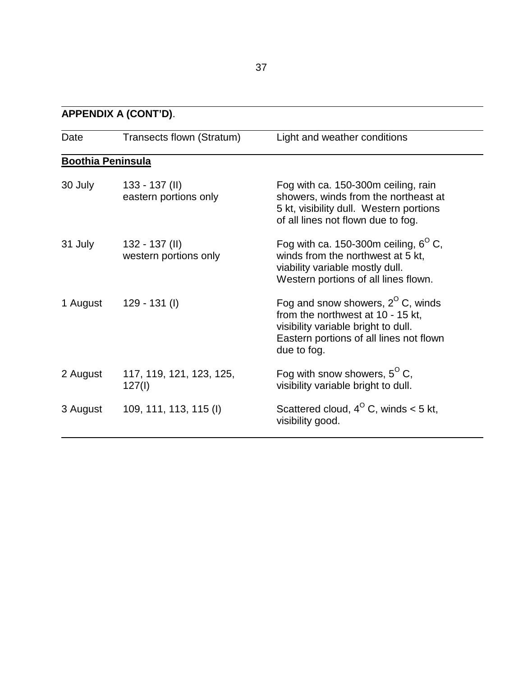### **APPENDIX A (CONT'D)**.

 $\overline{a}$ 

| Date                     | Transects flown (Stratum)                 | Light and weather conditions                                                                                                                                                     |
|--------------------------|-------------------------------------------|----------------------------------------------------------------------------------------------------------------------------------------------------------------------------------|
| <b>Boothia Peninsula</b> |                                           |                                                                                                                                                                                  |
| 30 July                  | $133 - 137$ (II)<br>eastern portions only | Fog with ca. 150-300m ceiling, rain<br>showers, winds from the northeast at<br>5 kt, visibility dull. Western portions<br>of all lines not flown due to fog.                     |
| 31 July                  | $132 - 137$ (II)<br>western portions only | Fog with ca. 150-300m ceiling, $6^{\circ}$ C,<br>winds from the northwest at 5 kt,<br>viability variable mostly dull.<br>Western portions of all lines flown.                    |
| 1 August                 | $129 - 131$ (l)                           | Fog and snow showers, $2^{\circ}$ C, winds<br>from the northwest at 10 - 15 kt,<br>visibility variable bright to dull.<br>Eastern portions of all lines not flown<br>due to fog. |
| 2 August                 | 117, 119, 121, 123, 125,<br>127(1)        | Fog with snow showers, $5^{\circ}$ C,<br>visibility variable bright to dull.                                                                                                     |
| 3 August                 | 109, 111, 113, 115 (I)                    | Scattered cloud, $4^{\circ}$ C, winds < 5 kt,<br>visibility good.                                                                                                                |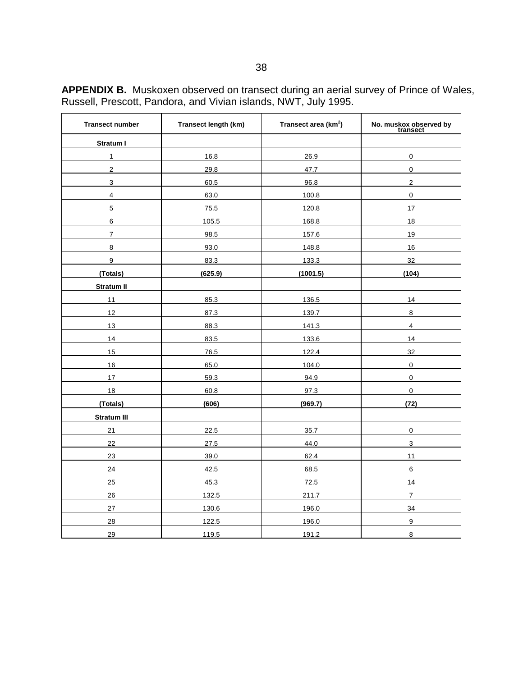| <b>Transect number</b> | Transect length (km) | Transect area (km <sup>2</sup> ) | No. muskox observed by<br>transect |
|------------------------|----------------------|----------------------------------|------------------------------------|
| Stratum I              |                      |                                  |                                    |
| $\mathbf{1}$           | 16.8                 | 26.9                             | 0                                  |
| $\overline{2}$         | 29.8                 | 47.7                             | $\mathsf 0$                        |
| 3                      | 60.5                 | 96.8                             | $\overline{2}$                     |
| $\overline{4}$         | 63.0                 | 100.8                            | 0                                  |
| $\overline{5}$         | 75.5                 | 120.8                            | 17                                 |
| $\,6\,$                | 105.5                | 168.8                            | 18                                 |
| $\overline{7}$         | 98.5                 | 157.6                            | 19                                 |
| 8                      | 93.0                 | 148.8                            | 16                                 |
| $\mathsf g$            | 83.3                 | 133.3                            | 32                                 |
| (Totals)               | (625.9)              | (1001.5)                         | (104)                              |
| Stratum II             |                      |                                  |                                    |
| 11                     | 85.3                 | 136.5                            | 14                                 |
| 12                     | 87.3                 | 139.7                            | 8                                  |
| 13                     | 88.3                 | 141.3                            | $\overline{\mathbf{4}}$            |
| 14                     | 83.5                 | 133.6                            | 14                                 |
| 15                     | 76.5                 | 122.4                            | 32                                 |
| 16                     | 65.0                 | 104.0                            | 0                                  |
| 17                     | 59.3                 | 94.9                             | 0                                  |
| 18                     | 60.8                 | 97.3                             | $\mathbf 0$                        |
| (Totals)               | (606)                | (969.7)                          | (72)                               |
| <b>Stratum III</b>     |                      |                                  |                                    |
| 21                     | 22.5                 | 35.7                             | 0                                  |
| 22                     | 27.5                 | 44.0                             | $\mathbf{3}$                       |
| 23                     | 39.0                 | 62.4                             | 11                                 |
| 24                     | 42.5                 | 68.5                             | 6                                  |
| 25                     | 45.3                 | 72.5                             | 14                                 |
| 26                     | 132.5                | 211.7                            | $\overline{7}$                     |
| 27                     | 130.6                | 196.0                            | 34                                 |
| 28                     | 122.5                | 196.0                            | 9                                  |
| 29                     | 119.5                | 191.2                            | 8                                  |

**APPENDIX B.** Muskoxen observed on transect during an aerial survey of Prince of Wales, Russell, Prescott, Pandora, and Vivian islands, NWT, July 1995.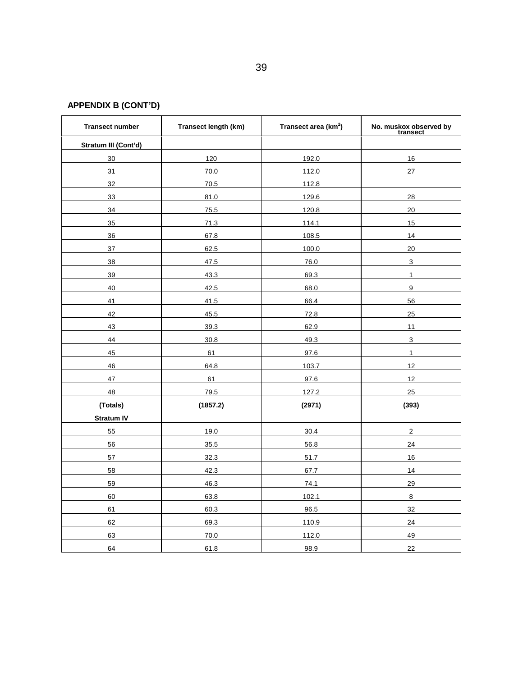# **APPENDIX B (CONT'D)**

| <b>Transect number</b> | Transect length (km) | Transect area (km <sup>2</sup> ) | No. muskox observed by<br>transect |
|------------------------|----------------------|----------------------------------|------------------------------------|
| Stratum III (Cont'd)   |                      |                                  |                                    |
| 30                     | 120                  | 192.0                            | 16                                 |
| 31                     | 70.0                 | 112.0                            | 27                                 |
| 32                     | 70.5                 | 112.8                            |                                    |
| 33                     | 81.0                 | 129.6                            | 28                                 |
| 34                     | 75.5                 | 120.8                            | 20                                 |
| 35                     | 71.3                 | 114.1                            | 15                                 |
| 36                     | 67.8                 | 108.5                            | 14                                 |
| 37                     | 62.5                 | 100.0                            | 20                                 |
| 38                     | 47.5                 | 76.0                             | 3                                  |
| 39                     | 43.3                 | 69.3                             | $\mathbf{1}$                       |
| 40                     | 42.5                 | 68.0                             | 9                                  |
| 41                     | 41.5                 | 66.4                             | 56                                 |
| 42                     | 45.5                 | 72.8                             | 25                                 |
| 43                     | 39.3                 | 62.9                             | 11                                 |
| 44                     | 30.8                 | 49.3                             | $\overline{3}$                     |
| 45                     | 61                   | 97.6                             | $\mathbf{1}$                       |
| 46                     | 64.8                 | 103.7                            | 12                                 |
| 47                     | 61                   | 97.6                             | 12                                 |
| 48                     | 79.5                 | 127.2                            | 25                                 |
| (Totals)               | (1857.2)             | (2971)                           | (393)                              |
| <b>Stratum IV</b>      |                      |                                  |                                    |
| 55                     | 19.0                 | 30.4                             | $\overline{2}$                     |
| 56                     | 35.5                 | 56.8                             | 24                                 |
| 57                     | 32.3                 | 51.7                             | 16                                 |
| 58                     | 42.3                 | 67.7                             | 14                                 |
| 59                     | 46.3                 | 74.1                             | 29                                 |
| 60                     | 63.8                 | 102.1                            | 8                                  |
| 61                     | 60.3                 | 96.5                             | 32                                 |
| 62                     | 69.3                 | 110.9                            | 24                                 |
| 63                     | 70.0                 | 112.0                            | 49                                 |
| 64                     | 61.8                 | 98.9                             | 22                                 |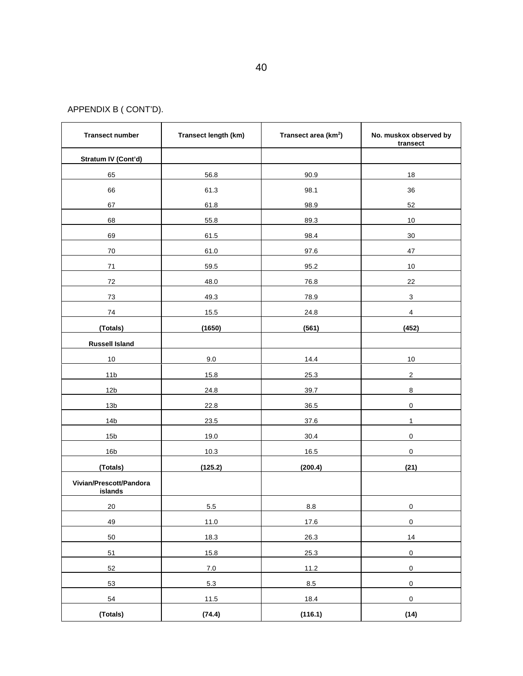APPENDIX B ( CONT'D).

| <b>Transect number</b>             | Transect length (km) | Transect area (km <sup>2</sup> ) | No. muskox observed by<br>transect |
|------------------------------------|----------------------|----------------------------------|------------------------------------|
| Stratum IV (Cont'd)                |                      |                                  |                                    |
| 65                                 | 56.8                 | 90.9                             | 18                                 |
| 66                                 | 61.3                 | 98.1                             | 36                                 |
| 67                                 | 61.8                 | 98.9                             | 52                                 |
| 68                                 | 55.8                 | 89.3                             | 10                                 |
| 69                                 | 61.5                 | 98.4                             | 30                                 |
| 70                                 | 61.0                 | 97.6                             | 47                                 |
| 71                                 | 59.5                 | 95.2                             | 10                                 |
| 72                                 | 48.0                 | 76.8                             | 22                                 |
| 73                                 | 49.3                 | 78.9                             | $\mathbf{3}$                       |
| 74                                 | 15.5                 | 24.8                             | $\overline{4}$                     |
| (Totals)                           | (1650)               | (561)                            | (452)                              |
| <b>Russell Island</b>              |                      |                                  |                                    |
| $10$                               | 9.0                  | 14.4                             | 10                                 |
| 11 <sub>b</sub>                    | 15.8                 | 25.3                             | $\overline{c}$                     |
| 12 <sub>b</sub>                    | 24.8                 | 39.7                             | $\bf 8$                            |
| 13 <sub>b</sub>                    | 22.8                 | 36.5                             | 0                                  |
| 14 <sub>b</sub>                    | 23.5                 | 37.6                             | $\mathbf{1}$                       |
| 15 <sub>b</sub>                    | 19.0                 | 30.4                             | $\pmb{0}$                          |
| 16 <sub>b</sub>                    | 10.3                 | 16.5                             | $\mathbf 0$                        |
| (Totals)                           | (125.2)              | (200.4)                          | (21)                               |
| Vivian/Prescott/Pandora<br>islands |                      |                                  |                                    |
| 20                                 | 5.5                  | 8.8                              | $\mathsf{O}\xspace$                |
| 49                                 | 11.0                 | 17.6                             | $\mathsf 0$                        |
| 50                                 | 18.3                 | 26.3                             | 14                                 |
| 51                                 | 15.8                 | 25.3                             | $\pmb{0}$                          |
| 52                                 | 7.0                  | 11.2                             | $\mathbf 0$                        |
| 53                                 | 5.3                  | 8.5                              | $\pmb{0}$                          |
| 54                                 | 11.5                 | 18.4                             | $\mathbf 0$                        |
| (Totals)                           | (74.4)               | (116.1)                          | (14)                               |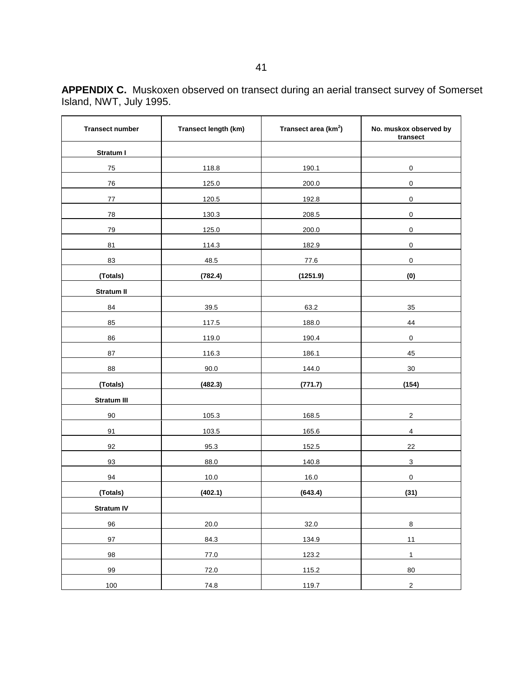| <b>APPENDIX C.</b> Muskoxen observed on transect during an aerial transect survey of Somerset |
|-----------------------------------------------------------------------------------------------|
| Island, NWT, July 1995.                                                                       |

| <b>Transect number</b> | Transect length (km) | Transect area (km <sup>2</sup> ) | No. muskox observed by<br>transect |
|------------------------|----------------------|----------------------------------|------------------------------------|
| Stratum I              |                      |                                  |                                    |
| 75                     | 118.8                | 190.1                            | $\pmb{0}$                          |
| 76                     | 125.0                | 200.0                            | $\mathbf 0$                        |
| 77                     | 120.5                | 192.8                            | $\mathbf 0$                        |
| 78                     | 130.3                | 208.5                            | $\mathbf 0$                        |
| 79                     | 125.0                | 200.0                            | $\mathbf 0$                        |
| 81                     | 114.3                | 182.9                            | $\pmb{0}$                          |
| 83                     | 48.5                 | 77.6                             | $\pmb{0}$                          |
| (Totals)               | (782.4)              | (1251.9)                         | (0)                                |
| Stratum II             |                      |                                  |                                    |
| 84                     | 39.5                 | 63.2                             | 35                                 |
| 85                     | 117.5                | 188.0                            | 44                                 |
| 86                     | 119.0                | 190.4                            | $\pmb{0}$                          |
| 87                     | 116.3                | 186.1                            | 45                                 |
| 88                     | $90.0\,$             | 144.0                            | $30\,$                             |
| (Totals)               | (482.3)              | (771.7)                          | (154)                              |
| <b>Stratum III</b>     |                      |                                  |                                    |
| 90                     | 105.3                | 168.5                            | $\sqrt{2}$                         |
| 91                     | 103.5                | 165.6                            | $\overline{\mathbf{4}}$            |
| 92                     | 95.3                 | 152.5                            | 22                                 |
| 93                     | 88.0                 | 140.8                            | $\mathbf{3}$                       |
| 94                     | 10.0                 | 16.0                             | $\pmb{0}$                          |
| (Totals)               | (402.1)              | (643.4)                          | (31)                               |
| Stratum IV             |                      |                                  |                                    |
| 96                     | 20.0                 | 32.0                             | $\,8\,$                            |
| $97\,$                 | 84.3                 | 134.9                            | $11$                               |
| 98                     | 77.0                 | 123.2                            | $\mathbf{1}$                       |
| 99                     | 72.0                 | 115.2                            | 80                                 |
| 100                    | 74.8                 | 119.7                            | $\overline{2}$                     |

ŕ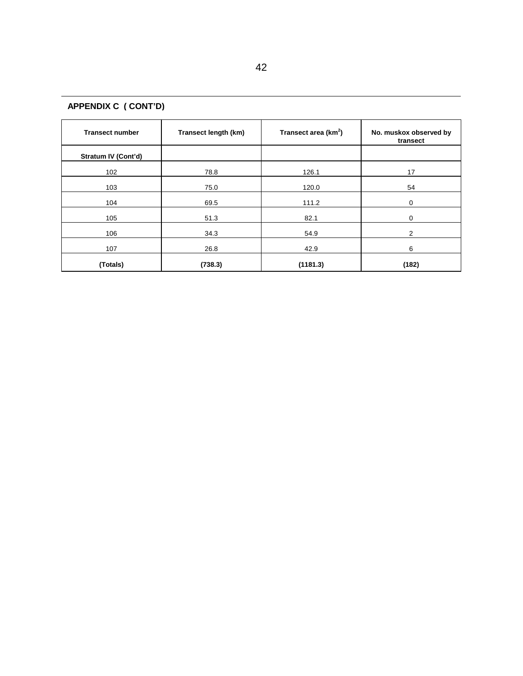| <b>Transect number</b> | Transect length (km) | Transect area (km <sup>2</sup> ) | No. muskox observed by<br>transect |  |
|------------------------|----------------------|----------------------------------|------------------------------------|--|
| Stratum IV (Cont'd)    |                      |                                  |                                    |  |
| 102                    | 78.8                 | 126.1                            | 17                                 |  |
| 103                    | 75.0                 | 120.0                            | 54                                 |  |
| 104                    | 69.5                 | 111.2                            | 0                                  |  |
| 105                    | 51.3                 | 82.1                             | 0                                  |  |
| 106                    | 34.3                 | 54.9                             | 2                                  |  |
| 107                    | 26.8                 | 42.9                             | 6                                  |  |
| (Totals)               | (738.3)              | (1181.3)                         | (182)                              |  |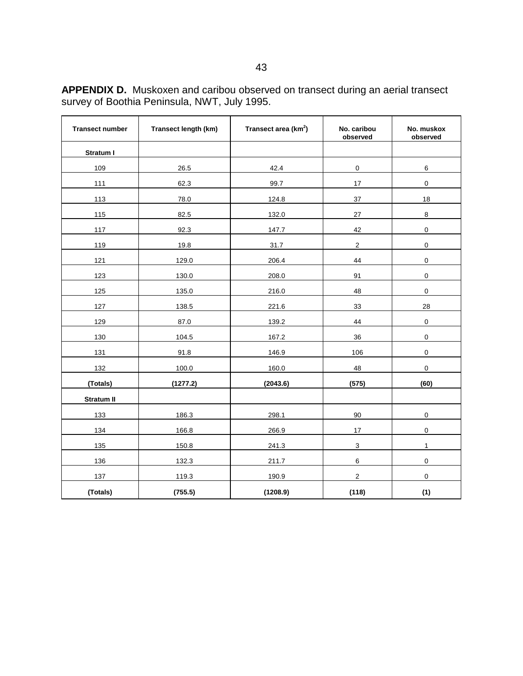| <b>Transect number</b> | Transect length (km) | Transect area (km <sup>2</sup> ) | No. caribou<br>observed | No. muskox<br>observed |
|------------------------|----------------------|----------------------------------|-------------------------|------------------------|
| Stratum I              |                      |                                  |                         |                        |
| 109                    | 26.5                 | 42.4                             | $\mathsf 0$             | 6                      |
| 111                    | 62.3                 | 99.7                             | 17                      | $\pmb{0}$              |
| 113                    | 78.0                 | 124.8                            | $37\,$                  | 18                     |
| 115                    | 82.5                 | 132.0                            | 27                      | 8                      |
| 117                    | 92.3                 | 147.7                            | 42                      | $\mathbf 0$            |
| 119                    | 19.8                 | 31.7                             | $\overline{c}$          | $\pmb{0}$              |
| 121                    | 129.0                | 206.4                            | 44                      | $\mathbf 0$            |
| 123                    | 130.0                | 208.0                            | 91                      | $\pmb{0}$              |
| 125                    | 135.0                | 216.0                            | 48                      | $\pmb{0}$              |
| 127                    | 138.5                | 221.6                            | 33                      | 28                     |
| 129                    | 87.0                 | 139.2                            | 44                      | $\pmb{0}$              |
| 130                    | 104.5                | 167.2                            | 36                      | $\pmb{0}$              |
| 131                    | 91.8                 | 146.9                            | 106                     | $\pmb{0}$              |
| 132                    | 100.0                | 160.0                            | 48                      | $\pmb{0}$              |
| (Totals)               | (1277.2)             | (2043.6)                         | (575)                   | (60)                   |
| <b>Stratum II</b>      |                      |                                  |                         |                        |
| 133                    | 186.3                | 298.1                            | 90                      | $\pmb{0}$              |
| 134                    | 166.8                | 266.9                            | 17                      | $\pmb{0}$              |
| 135                    | 150.8                | 241.3                            | $\mathsf 3$             | $\mathbf{1}$           |
| 136                    | 132.3                | 211.7                            | 6                       | $\pmb{0}$              |
| 137                    | 119.3                | 190.9                            | $\boldsymbol{2}$        | $\pmb{0}$              |
| (Totals)               | (755.5)              | (1208.9)                         | (118)                   | (1)                    |

**APPENDIX D.** Muskoxen and caribou observed on transect during an aerial transect survey of Boothia Peninsula, NWT, July 1995.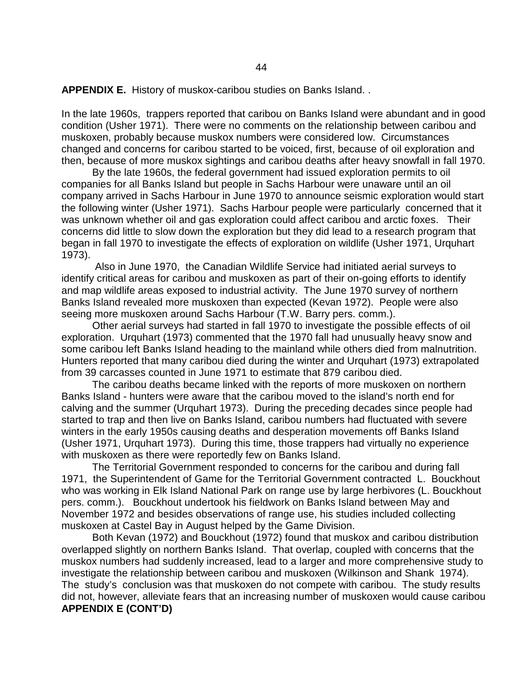**APPENDIX E.** History of muskox-caribou studies on Banks Island. .

In the late 1960s, trappers reported that caribou on Banks Island were abundant and in good condition (Usher 1971). There were no comments on the relationship between caribou and muskoxen, probably because muskox numbers were considered low. Circumstances changed and concerns for caribou started to be voiced, first, because of oil exploration and then, because of more muskox sightings and caribou deaths after heavy snowfall in fall 1970.

By the late 1960s, the federal government had issued exploration permits to oil companies for all Banks Island but people in Sachs Harbour were unaware until an oil company arrived in Sachs Harbour in June 1970 to announce seismic exploration would start the following winter (Usher 1971). Sachs Harbour people were particularly concerned that it was unknown whether oil and gas exploration could affect caribou and arctic foxes. Their concerns did little to slow down the exploration but they did lead to a research program that began in fall 1970 to investigate the effects of exploration on wildlife (Usher 1971, Urquhart 1973).

 Also in June 1970, the Canadian Wildlife Service had initiated aerial surveys to identify critical areas for caribou and muskoxen as part of their on-going efforts to identify and map wildlife areas exposed to industrial activity. The June 1970 survey of northern Banks Island revealed more muskoxen than expected (Kevan 1972). People were also seeing more muskoxen around Sachs Harbour (T.W. Barry pers. comm.).

Other aerial surveys had started in fall 1970 to investigate the possible effects of oil exploration. Urquhart (1973) commented that the 1970 fall had unusually heavy snow and some caribou left Banks Island heading to the mainland while others died from malnutrition. Hunters reported that many caribou died during the winter and Urquhart (1973) extrapolated from 39 carcasses counted in June 1971 to estimate that 879 caribou died.

The caribou deaths became linked with the reports of more muskoxen on northern Banks Island - hunters were aware that the caribou moved to the island's north end for calving and the summer (Urquhart 1973). During the preceding decades since people had started to trap and then live on Banks Island, caribou numbers had fluctuated with severe winters in the early 1950s causing deaths and desperation movements off Banks Island (Usher 1971, Urquhart 1973). During this time, those trappers had virtually no experience with muskoxen as there were reportedly few on Banks Island.

The Territorial Government responded to concerns for the caribou and during fall 1971, the Superintendent of Game for the Territorial Government contracted L. Bouckhout who was working in Elk Island National Park on range use by large herbivores (L. Bouckhout pers. comm.). Bouckhout undertook his fieldwork on Banks Island between May and November 1972 and besides observations of range use, his studies included collecting muskoxen at Castel Bay in August helped by the Game Division.

Both Kevan (1972) and Bouckhout (1972) found that muskox and caribou distribution overlapped slightly on northern Banks Island. That overlap, coupled with concerns that the muskox numbers had suddenly increased, lead to a larger and more comprehensive study to investigate the relationship between caribou and muskoxen (Wilkinson and Shank 1974). The study's conclusion was that muskoxen do not compete with caribou. The study results did not, however, alleviate fears that an increasing number of muskoxen would cause caribou **APPENDIX E (CONT'D)**